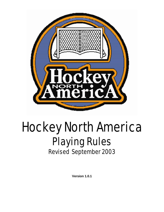

# Hockey North America Playing Rules Revised September 2003

**Version 1.0.1**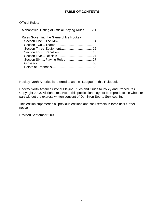#### **TABLE OF CONTENTS**

Official Rules:

Alphabetical Listing of Official Playing Rules ....... 2-4

| Rules Governing the Game of Ice Hockey |  |
|----------------------------------------|--|
|                                        |  |
|                                        |  |
|                                        |  |
|                                        |  |
|                                        |  |
|                                        |  |
|                                        |  |
|                                        |  |

Hockey North America is referred to as the "League" in this Rulebook.

Hockey North America Official Playing Rules and Guide to Policy and Procedures. Copyright 2003. All rights reserved. This publication may not be reproduced in whole or part without the express written consent of Dominion Sports Services, Inc.

This edition supercedes all previous editions and shall remain in force until further notice.

Revised September 2003.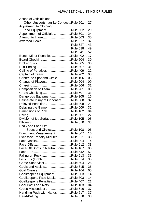| Abuse of Officials and                      |              |
|---------------------------------------------|--------------|
| Other Unsportsmanlike Conduct .Rule 601  27 |              |
| <b>Adjustment to Clothing</b>               |              |
| and Equipment Rule 602  29                  |              |
| Appointment of Officials Rule 501  24       |              |
| Attempt to InjureRule 603 30                |              |
| Awarded GoalsRule 617  37                   |              |
|                                             | Rule 627  43 |
|                                             | Rule 638  49 |
|                                             | Rule 641  52 |
| Bench Minor Penalties Rule 402  17          |              |
| Board-CheckingRule 604  30                  |              |
|                                             |              |
|                                             |              |
| Calling of PenaltiesRule 409  22            |              |
| Captain of TeamRule 202  08                 |              |
| Center Ice Spot and Circle Rule 106  06     |              |
|                                             |              |
| Change of PlayersRule 204  09               |              |
|                                             |              |
| Composition of Team Rule 201  08            |              |
| Cross-CheckingRule 607  31                  |              |
| Dangerous EquipmentRule 305  15             |              |
| Deliberate Injury of Opponent Rule 608  32  |              |
| Delayed Penalties Rule 408  22              |              |
| Delaying the GameRule 609  32               |              |
| Dimensions of Rink Rule 102  04             |              |
|                                             |              |
| Division of Ice SurfaceRule 105 05          |              |
|                                             |              |
| End Zone Face-Off                           |              |
| Spots and Circles Rule 108  06              |              |
| Equipment Measurement Rule 307  16          |              |
| Excessive Penalty MinutesRule 611  33       |              |
|                                             |              |
|                                             |              |
| Face-Off Spots in Neutral ZoneRule 107  06  |              |
|                                             |              |
| Falling on PuckRule 613  35                 |              |
| Fisticuffs (Fighting)Rule 614  35           |              |
| Game Supervisor Rule 504  26                |              |
| Goals and AssistsRule 61536                 |              |
|                                             |              |
| Goalkeeper's Equipment Rule 303  14         |              |
| Goalkeeper's Face MaskRule 303  14          |              |
| Goalkeeper's PenaltiesRule 407  21          |              |
| Goal Posts and Nets Rule 103  04            |              |
| Gross Misconduct Rule 616  37               |              |
| Handling Puck with Hands Rule 617  37       |              |
|                                             |              |
|                                             |              |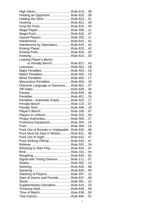| Holding an Opponent Rule 620  39              |  |  |
|-----------------------------------------------|--|--|
| Holding the Stick Rule 623  41                |  |  |
|                                               |  |  |
| Icing the PuckRule 622  40                    |  |  |
|                                               |  |  |
|                                               |  |  |
| Injured Players Rule 205  11                  |  |  |
|                                               |  |  |
| Interference by Spectators Rule 624  42       |  |  |
| Kicking Player Rule 625  42                   |  |  |
|                                               |  |  |
|                                               |  |  |
| Leaving Player's Bench                        |  |  |
| or Penalty BenchRule 627  43                  |  |  |
|                                               |  |  |
| Major Penalties Rule 403  18                  |  |  |
| Match PenaltiesRule 405  19                   |  |  |
| Minor Penalties Rule 402  17                  |  |  |
| Misconduct Penalties Rule 404  18             |  |  |
| Obscene Language or Gestures Rule 601  27     |  |  |
|                                               |  |  |
|                                               |  |  |
|                                               |  |  |
| Penalties - Automatic Expiry Rule 402  17     |  |  |
| Penalty Bench Rule 110  07                    |  |  |
|                                               |  |  |
| Player's Bench Rule 109  07                   |  |  |
| Players in Uniform Rule 203  09               |  |  |
| Proper AuthoritiesRule 505  27                |  |  |
| Protective Equipment Rule 304  14             |  |  |
|                                               |  |  |
| Puck Out of Bounds or Unplayable Rule 630  46 |  |  |
| Puck Must be Kept in MotionRule 631  46       |  |  |
| Puck Out of Sight Rule 632  47                |  |  |
| Puck Striking Official Rule 633  47           |  |  |
|                                               |  |  |
| Refusing to Start PlayRule 634  47            |  |  |
|                                               |  |  |
|                                               |  |  |
| Signal and Timing DevicesRule 111  07         |  |  |
|                                               |  |  |
|                                               |  |  |
|                                               |  |  |
| Stacking of PlayersRule 207  12               |  |  |
| Start of Gamrs and PeriodsRule 637  48        |  |  |
|                                               |  |  |
| Supplementary DisciplineRule 410  23          |  |  |
|                                               |  |  |
| Throwing StickRule 638  49                    |  |  |
| Time of Match Rule 639  50                    |  |  |
|                                               |  |  |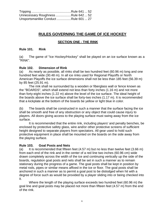| Unnecessary Roughness Rule 642  52   |  |
|--------------------------------------|--|
| Unsportsmanlike Conduct Rule 601  27 |  |

# **RULES GOVERNING THE GAME OF ICE HOCKEY**

#### **SECTION ONE - THE RINK**

#### **Rule 101. Rink**

(a) The game of "Ice Hockey/Hockey" shall be played on an ice surface known as a "RINK".

#### **Rule 102. Dimension of Rink**

(a) As nearly as possible, all rinks shall be two hundred feet (60.96 m) long and one hundred feet wide (30.48 m). In all ice rinks used for Regional Playoffs or North American Playoffs the ice surface dimensions shall not be less than 185 feet (56.39 m) by 85 feet (25.91 m).

 The rink shall ne surrounded by a wooden or fiberglass wall or fence known as the "BOARDS", which shall extend not less than forty inches (1.16 m) and not more than forty-eight inches (1.22 m) above the level of the ice surface. The ideal height of the boards above the ice surface shall be forty-two inches (1.17 m). It is recommended that a kickplate at the bottom of the boards be yellow or light blue in color.

(b) The boards shall be constructed in such a manner that the surface facing the ice shall be smooth and free of any obstruction or any object that could cause injury to players. All doors giving access to the playing surface must swing away from the ice surface.

 It is recommended that the entire rink, including players' and penalty benches, be enclosed by protective safety glass, wire and/or other protective screens of sufficient height designed to separate players from spectators. All gear used to hold such protective equipment in place shall be mounted on the boards on the side away from the playing surface.

#### **Rule 103. Goal Posts and Nets**

(a) It is recommended that fifteen feet  $(4.57 \text{ m})$  but no less than twelve feet  $(3.66 \text{ m})$ from each end of the rink and in the center of a red line two inches (60.96 cm) wide drawn completely across the width of the ice and continuing vertically up the side of the boards, regulation goal posts and nets shall be set in such a manner as to remain stationary during the progress of a game. The goal posts shall be kept in position by metal rods, pipes or similar means affixed in the ice or floor. The goal posts shall be anchored in such a manner as to permit a goal post to be dislodged when hit with a degree of force such as would be provided by a player sliding into or being checked into it.

 Where the length of the playing surface exceeds two hundred feet (60.96 m) the goal line and goal posts may be placed not more than fifteen feet (4.57 m) from the end of the rink.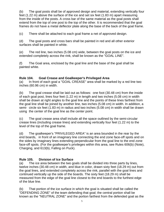(b) The goal posts shall be of approved design and material, extending vertically four feet (1.22 m) above the surface of the ice and set six feet (1.83 m) apart measuring from the inside of the posts. A cross bar of the same material as the goal posts shall extend from the top of one post to the top of the other. It is recommended that the goal frames do not have a metal deflector plate along the base of the back of the goal frame.

(c) There shall be attached to each goal frame a net of approved design.

(d) The goal posts and cross bars shall be painted in red and all other exterior surfaces shall be painted in white.

(e) The red line, two inches (5.08 cm) wide, between the goal posts on the ice and extended completely across the rink, shall be known as the "GOAL LINE".

(f) The Goal area, enclosed by the goal line and the base of the goal shall be painted white.

# **Rule 104. Goal Crease and Goalkeeper's Privileged Area**

(a) In front of each goal a "GOAL CREASE" area shall be marked by a red line two inches (60.96 cm) in width.

(b) The goal crease shall be laid out as follows: one foot (30.48 cm) from the inside of each goal post, lines four feet (1.22 m) in length and two inches (5.08 cm) in width shall be drawn at right angles to the goal line and the points of these lines farthest from the goal line shall be joined by another line, two inches (5.08 cm) in width. In addition, a semi- circle six feet (1.83 m) in radius and two inches (5.08 cm) in width shall be drawn using the center of the goal line as the center point.

(c) The goal crease area shall include all the space outlined by the semi-circular crease lines (including crease lines) and extending vertically four feet (1.22 m) to the level of the top of the goal frame.

(d) The goalkeeper's "PRIVILEGED AREA" is an area bounded in the rear by the end boards, in front of an imaginary line connecting the end zone face-off spots and on the sides by imaginary lines extending perpendicular from the goal line to the end zone face-off spots. (For the goalkeeper's privileges within this area, see Rules 606(b) (Note), Charging, and 613(b), Falling on Puck).

# **Rule 105. Division of Ice Surface**

(a) The ice area between the two goals shall be divided into three parts by lines, twelve inches (30.48 cm) in width, and blue in color, drawn sixty feet (18.29 m) out from the goal lines, and extended completely across the rink, parallel with the goal lines and continued vertically up the side of the boards. The sixty feet (18.29 m) shall be measured from the edge of the goal line closest to the end boards to the furthest edge of the blue line.

(b) That portion of the ice surface in which the goal is situated shall be called the "DEFENDING ZONE" of the team defending that goal; the central portion shall be known as the "NEUTRAL ZONE" and the portion farthest from the defended goal as the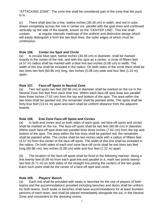"ATTACKING ZONE". The zone line shall be considered part of the zone that the puck is in.

(c) There shall also be a line, twelve inches (30.48 cm) in width, and red in color, drawn completely across the rink in center ice, parallel with the goal lines and continued vertically up the side of the boards, known as the "CENTER LINE". This line shall contain at regular intervals markings of the uniform and distinctive design which will easily distinguish it from the two blue lines, the outer edges of which must be continuous.

#### **Rule 106. Center Ice Spot and Circle**

(a) A circular blue spot, twelve inches (30.48 cm) in diameter, shall be marked exactly in the center of the rink; and with this spot as a center, a circle of fifteen feet (4.57 m) radius shall be marked with a blue line two inches (5.08 cm) in width. The width of this line shall be included in the radius. On both sides of the circle there shall be two lines two feet (60.96 cm) long, two inches (5.08 cm) wide and four feet (1.22 m) apart.

# **Rule 107. Face-off Spots in Neutral Zone**

(a) Two red spots two feet (60.96 cm) in diameter shall be marked on the ice in the Neutral Zone five feet from each blue line. Within each face-off spot draw two parallel lines three inches (7.62 cm) from the top and bottom of the spot. The area within the two lines shall be painted red, the remainder shall be painted white. The spots shall be forty-four feet (13.41 m) apart and each shall be uniform distance from the adjacent boards.

#### **Rule 108. End Zone Face-off Spots and Circles**

(a) In both end zones and on both sides of each goal, red face-off spots and circles shall be marked on the ice. The face-off spots shall be two feet (60.96 cm) in diameter. Within each face-off spot draw two parallel lines three inches (7.62 cm) from the top and bottom of the spot. The area within the two lines shall be painted red, the remainder shall be painted white. The circles shall be two inches wide with a radius of fifteen feet (4.57 m) from the center of the face-off spots. The width of this line shall be included in the radius. On both sides of each end zone face-off circle shall be two lines two feet long (60.96 cm), two inches (5.08 cm) wide and four feet (1.22 m) apart.

(b) The location of the face-off spots shall be fixed in the following manner: Along a line twenty feet (6.09 m) from each goal line and parallel to it, mark two points twentytwo feet (6.71 m) on both sides of the straight line joining the centers of the two goals. Each such point shall be the center of a face-off spot and circle.

#### **Rule 109. Players' Bench**

(a) Each rink shall be provided with seats or benches for the use of players of both teams and the accommodations provided including benches and doors shall be uniform for both teams. Such seats or benches shall have accommodations for at least fourteen persons of each team, and shall be placed immediately alongside the ice, in the Neutral Zone and convenient to the dressing rooms.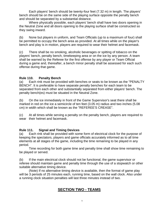Each players' bench should be twenty-four feet (7.32 m) in length. The players' bench should be on the same side of the playing surface opposite the penalty bench and should be separated by a substantial distance.

 Where physically possible, each players' bench shall have two doors opening in the Neutral Zone and all doors opening to the playing surface shall be constructed so they swing inward.

(b) None but players in uniform, and Team Officials (up to a maximum of four) shall be permitted to occupy the bench area as provided. At all times while on the player's bench and play is in motion, players are required to wear their helmet and facemask.

(c) There shall be no smoking, alcoholic beverages or spitting of tobacco on the players' bench, penalty bench, timekeeping area or on the ice by any person. A team shall be warned by the Referee for the first offense by any player or Team Official during a game and, thereafter, a bench minor penalty shall be assessed for each such offense during that game.

#### **Rule 110. Penalty Bench**

(a) Each rink must be provided with benches or seats to be known as the "PENALTY BENCH". It is preferable to have separate penalty benches for each team to be separated from each other and substantially separated from either players' bench. The penalty bench(es) must be situated in the Neutral Zone.

(b) On the ice immediately in front of the Game Supervisor's seat there shall be marked in red on the ice a semicircle of ten feet (3.05 m) radius and two inches (5.08 cm) in width which shall be known as the "REFEREE'S CREASE".

(c) At all times while serving a penalty on the penalty bench, players are required to wear their helmet and facemask.

# **Rule 111. Signal and Timing Devices**

(a) Each rink shall be provided with some form of electrical clock for the purpose of keeping the spectators, players and game officials accurately informed as to all time elements at all stages of the game, including the time remaining to be played in any period.

 Time recording for both game time and penalty time shall show time remaining to be played or served.

(b) If the main electrical clock should not be functional, the game supervisor or referee should maintain game and penalty time through the use of a stopwatch or other suitable alternative timing device.

 (Note) If no alternative timing device is available, then the format of game play will be 3 periods of 25 minutes each, running time, based on the wall clock. Also under a running clock situation penalties will last three minutes instead of two.

# **SECTION TWO - TEAMS**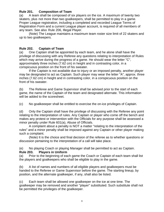#### **Rule 201. Composition of Team**

(a) A team shall be composed of six players on the ice. A maximum of twenty two skaters, plus not more than two goalkeepers, shall be permitted to play in a game. Proper League registration, including a completed and recorded League Terms of Registration Form and a current League player account, is required of all members of any team. See also Rule 206, Illegal Player.

 (Note) The League maintains a maximum team roster size limit of 22 skaters and up to two goalkeepers.

# **Rule 202. Captain of Team**

(a) One Captain shall be appointed by each team, and he alone shall have the privilege of discussing with any Referee any questions relating to interpretation of Rules which may arrive during the progress of a game. He should wear the letter "C", approximately three inches (7.62 cm) in height and in contrasting color, in a conspicuous position on the front of his sweater.

 If the Captain is not available due to injury or an imposed penalty, another player may be designated to act as Captain. Such player may wear the letter "A", approx. three inches (7.62 cm) in height and in contrasting color, in a conspicuous position on the front of his sweater.

(b) The Referee and Game Supervisor shall be advised prior to the start of each game, the name of the Captain of the team and designated alternate. This information will be added to the scoresheet.

(c) No goalkeeeper shall be entitled to exercise the on-ice privileges of Captain.

(d) Only the Captain shall have the privilege of discussing with the Referee any point relating to the interpretation of rules. Any Captain or player who come off the bench and makes any protest or intervention with the Officials for any purpose shall be assessed a minor penalty under Rule 601(a), Abuse of Officials.

 A complaint about a penalty is NOT a matter "relating to the interpretation of the rules" and a minor penalty shall be imposed against any Captain or other player making such a complaint.

 (Note) It is the choice and final decision of the referee as to whether questions or discussion pertaining to the interpretation of a call will take place.

(e) No playing Coach or playing Manager shall be permitted to act as Captain.

# **Rule 203. Players in Uniform**

(a) Prior to the beginning of each game the Coach or Captain of each team shall list the players and goalkeepers who shall be eligible to play in the game.

(b) A list of names and numbers of all eligible players and goalkeepers must be handed to the Referee or Game Supervisor before the game. The starting lineup, by position, and the alternate goalkeeper, if any, shall also be listed.

(c) Each team shall be allowed one goalkeeper on the ice at one time. The goalkeeper may be removed and another "player" substituted. Such substitute shall not be permitted the privileges of the goalkeeper.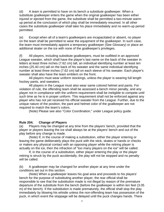(d) A team is permitted to have on its bench a substitute goalkeeper. When a substitute goalkeeper enters the game when the original goalkeeper has been either injured or ejected from the game, the substitute shall be permitted a two-minute warmup period at the conclusion of which play shall be immediately resumed. In all other cases the substitute goalkeeper shall take his place immediately and no warm-up period permitted.

(e) Except when all of a team's goalkeepers are incapacitated or absent, no player on the team shall be permitted to wear the equipment of the goalkeeper. In such case, the team must immediately appoint a temporary goalkeeper (See Glossary) or place an additional skater on the ice with none of the goalkeeper's privileges.

(f) All players, including substitute goalkeepers, must be outfitted in an approved League sweater, which shall have the player's last name on the back of the sweater in letters at least three inches (7.62 cm) tall, an individual identifying number at least ten inches (25.40 cm) tall on the back of his sweater and the same individual identifying number at least three inches (7.62 cm) tall on each sleeve of his sweater. Each player's sweater shall also have the team emblem on the front.

 All players must wear uniform stockings, unless the player is wearing full length hockey pants, and sweaters.

 All players in the League must also wear same colored helmet and pants. For violation of rule, the offending team shall be assessed a bench minor penalty, and any player not in compliance with the uniform requirement shall be ineligible to compete until such time as he is in proper uniform. This requirement shall not be enforced against any player who has not yet received his official sweater from the League. Further, due to the unique nature of the position, the pant and helmet color of the goalkeeper are not required to match the team's colors.

(Note) Please see also "Color Coordination," under League policy guide.

#### **Rule 204. Change of Players**

(a) Players may be changed at any time from the players' bench, provided that the player or players leaving the ice shall always be at the players' bench and out of the play before any change is made.

 (Note) If, in the course of making a substitution, either the player entering or leaving the game deliberately plays the puck with the stick, skates or hands or checks or makes any physical contact with an opposing player while the retiring player is actually on the ice, then the infraction of "too many players on the ice" will be called.

 If, in the course of a substitution, either player entering the play or the player retiring is struck by the puck accidentally, the play will not be stopped and no penalty will be called.

(b) A goalkeeper may be changed for another player at any time under the conditions set out in this section.

 (Note) When a goalkeeper leaves his goal area and proceeds to his players' bench for the purpose of substituting another player, the rear official shall be responsible to see that the substitution made is not illegal by reason of the premature departure of the substitute from the bench (before the goalkeeper is within ten feet (3.05 m) of the bench). If the substitution is made prematurely, the official shall stop the play immediately by blowing his whistle unless the non-offending team has possession of the puck, in which event the stoppage will be delayed until the puck changes hands. There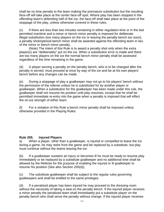shall be no time penalty to the team making the premature substitution but the resulting face-off will take place at the center face-off spot. Where play has been stopped in the offending team's defending half of the ice, the face-off shall take place at the point of the stoppage of the play, unless otherwise covered in these rules.

(c) If there are less than two minutes remaining in either regulation time or in the last permitted overtime and a minor or bench minor penalty is imposed for deliberate illegal substitution (too many players on the ice or leaving the penalty bench too soon), a penalty shot/optional bench minor shall be awarded against the offending team in lieu of the minor or bench minor penalty.

 (Note) The intent of this Rule is to award a penalty shot only when the extra player(s) are "deliberately" put on the ice. When a substitution error is made and there are too many players on the ice the normal bench minor penalty shall be assessed regardless of the time remaining in the game.

(d) A player serving a penalty on the penalty bench, who is to be changed after the penalty is served, must proceed at once by way of the ice and be at his own players' bench before any changes can be made.

(e) During a stoppage of play a goalkeeper may not go to his players' bench without the permission of the referee unless he is substituted for by another player or goalkeeper. When a substitution for the goalkeeper has been made under this rule, the goalkeeper shall not resume his position until play resumes, except that he shall be permitted immediate re-entry into the game when a penalty is imposed that will effect the on-ice strength of either team.

(f) For a violation of this Rule a bench minor penalty shall be imposed unless otherwise provided in the Playing Rules.

#### **Rule 205. Injured Players**

a) When a player, other than a goalkeeper, is injured or compelled to leave the ice during a game, he may retire from the game and be replaced by a substitute, but play must continue without the teams leaving the ice.

(b) If a goalkeeper sustains an injury or becomes ill he must be ready to resume play immediately or be replaced by a substitute goalkeeper and no additional time shall be allowed by the Referee for the purpose of enabling the injured or ill goalkeeper to resume his position (See also Section 205(d)).

(c) The substitute goalkeeper shall be subject to the regular rules governing goalkeepers and shall be entitled to the same privileges.

(d) If a penalized player has been injured he may proceed to the dressing room without the necessity of taking a seat on the penalty bench. If the injured player receives a minor penalty the penalized team shall immediately put a substitute player on the penalty bench who shall serve the penalty without change. If the injured player receives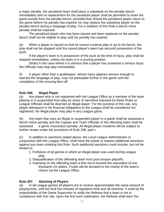a major penalty, the penalized team shall place a substitute on the penalty bench immediately and no replacement for the penalized player shall be permitted to enter the game except from the penalty bench, provided that should the penalized player return to the game before his penalty has expired, he may replace the substitute player on the penalty bench during a stoppage of play. For a violation of this Rule a bench minor penalty shall be imposed.

 The penalized player who has been injured and been replaced on the penalty bench shall not be eligible to play until his penalty has expired.

(e) When a player is injured so that he cannot continue play or go to his bench, the play shall not be stopped until the injured player's team has secured possession of the puck.

 If the player's team is in possession of the puck at the time of injury, play shall be stopped immediately, unless his team is in a scoring position.

 (Note) In the case where it is obvious that a player has sustained a serious injury the Officials may stop play immediately.

(f) A player other than a goalkeeper, whose injury appears serious enough to warrant the stoppage of play, may not participate further in the game until the completion of the ensuing face-off.

#### **Rule 206. Illegal Player**

(a) Any player who is not registered with the League Office as a member of the team playing or is suspended from play by virtue of sanctions imposed by these Rules or League Officials shall be deemed an illegal player. For the purpose of this rule, any player delinquent in his financial obligations to the League shall be considered not registered. No illegal player may play in any League game.

(b) Any team that uses an illegal or suspended player in a game shall be assessed a bench minor penalty and the Captain and Team Officials of the offending team shall be assessed a game misconduct penalty. All illegal player incidents will be subject to further review under the provisions of Rule 206, part c.

(c) In addition to sanctions stated above, the Local League Administrator in conjunction with the League Office, shall have the power to impose additional sanctions against any team violating this Rule. Such additional sanctions could include, but not be limited to:

- 1. Forfeiture of all games in which an illegal player was used during League play.
- 2. Disqualification of the offending team from post-season playoffs.
- 3. Imposing on the offending team a fine not to exceed the equivalent of one thousand US dollars. Funds will be donated to the charity of the team's choice via the League Office.

#### **Rule 207. Stacking of Players**

(a) In all League games all players are to receive approximately the same amount of playing time, until the final five minutes of regulation time and all overtime. It shall be the responsibility of the Game Supervisor to notify the Referee that a team is not in compliance with this rule. Upon the first such notification, the Referee shall warn the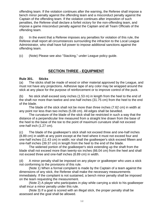offending team. If the violation continues after the warning, the Referee shall impose a bench minor penalty against the offending team and a misconduct penalty against the Captain of the offending team. If the violation continues after imposition of such penalties, the Referee shall declare a forfeit victory for the non-offending team, and impose a game misconduct penalty against the Captain and all Team Officials of the offending team.

(b) In the event that a Referee imposes any penalties for violation of this rule, the Referee shall report all circumstances surrounding the infraction to the Local League Administrator, who shall have full power to impose additional sanctions against the offending team.

(c) (Note) Please see also "Stacking," under League policy guide.

# **SECTION THREE - EQUIPMENT**

#### **Rule 301. Sticks**

(a) The sticks shall be made of wood or other material approved by the League, and must not have any projections. Adhesive tape of any color may be wrapped around the stick at any place for the purpose of reinforcement or to improve control of the puck.

(b) No stick shall exceed sixty inches (1.53 m) in length from the heel to the end of the shaft nor more than twelve and one-half inches (31.75 cm) from the heel to the end of the blade.

 The blade of the stick shall not be more than three inches (7.62 cm) in width at any point nor less than two inches (5.08 cm). All edges shall be bevelled.

 The curvature of the blade of the stick shall be restricted in such a way that the distance of a perpendicular line measured from a straight line drawn from the base of the heel to the base of the toe to the point of maximum curvature shall not exceed one-half inch (1.27 cm).

(c) The blade of the goalkeeper's stick shall not exceed three and one-half inches (8.89 cm) in width at any point except at the heel where it must not exceed four and one-half inches (11.43 cm) in width; nor shall the goalkeeper's stick exceed fifteen and one-half inches (39.37 cm) in length from the heel to the end of the blade.

 The widened portion of the goalkeeper's stick extending up the shaft from the blade shall not exceed more than twenty-six inches (66.04 cm) from the heel and shall not exceed three and one-half inches (8.89 cm) in width.

(d) A minor penalty shall be imposed on any player or goalkeeper who uses a stick not conforming to the provisions of this rule.

 (Note 1) When a formal complaint is made by the Captain of a team against the dimensions of any stick, the Referee shall make the necessary measurements immediately. If the complaint is not sustained, a bench minor penalty shall be imposed on the team requesting the measurement.

 (Note 2) A player who participates in play while carrying a stick to his goalkeeper shall incur a minor penalty under this rule.

 (Note 3) If a goal is scored with an illegal stick, the proper penalty shall be assessed and the goal shall be allowed.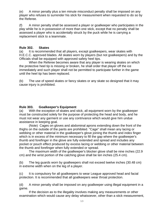(e) A minor penalty plus a ten minute misconduct penalty shall be imposed on any player who refuses to surrender his stick for measurement when requested to do so by the Referee.

(f) A minor penalty shall be assessed a player or goalkeeper who participates in the play while he is in possession of more than one stick, except that no penalty shall be assessed a player who is accidentally struck by the puck while he is carrying a replacement stick to a teammate.

#### **Rule 302. Skates**

(a) It is recommended that all players, except goalkeepers, wear skates with H.E.C.C. approved blades. All skates worn by players (but not goalkeepers) and by the Officials shall be equipped with approved safety heel tips.

 When the Referee becomes aware that any player is wearing skates on which the protective heel tip is missing or broken, he shall order that player off the ice immediately and such player shall not be permitted to participate further in the game until the heel tip has been replaced.

(b) The use of speed skates or fancy skates or any skate so designed that it may cause injury is prohibited.

#### **Rule 303. Goalkeeper's Equipment**

(a) With the exception of skates and stick, all equipment worn by the goalkeeper must be constructed solely for the purpose of protecting the head and body, and he must not wear any garment or use any contrivance which would give him undue assistance in keeping goal.

 (Note) Cages on gloves and abdominal aprons extending down the front of the thighs on the outside of the pants are prohibited. "Cage" shall mean any lacing or webbing or other material in the goalkeeper's glove joining the thumb and index finger which is in excess of the minimum necessary to fill the gap where the goalkeeper's thumb and forefinger in the glove are fully extended and spread and includes any pocket or pouch effect produced by excess lacing or webbing or other material between the thumb and forefinger when fully extended or spread.

 The maximum width of the goalkeeper's blocker glove shall be nine inches (22.9 cm) and the wrist portion of the catching glove shall be ten inches (25.4 cm).

(b) The leg guards worn by goalkeepers shall not exceed twelve inches (30.48 cm) in extreme width when on the leg of a player.

(c) It is compulsory for all goalkeepers to wear League approved head and facial protection. It is recommended that all goalkeepers wear throat protection.

(d) A minor penalty shall be imposed on any goalkeeper using illegal equipment in a game.

 If the decision as to the illegality involves making any measurements or other examination which would cause any delay whatsoever, other than a stick measurement,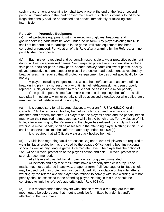such measurement or examination shall take place at the end of the first or second period or immediately in the third or overtime period. If such equipment is found to be illegal the penalty shall be announced and served immediately or following such intermission.

#### **Rule 304. Protective Equipment**

(a) All protective equipment, with the exception of gloves, headgear and goalkeeper's leg pads must be worn under the uniform. Any player violating this Rule shall not be permitted to participate in the game until such equipment has been corrected or removed. For violation of this Rule after a warning by the Referee, a minor penalty shall be imposed.

(b) Each player is required and personally responsible to wear protective equipment during all League sponsored games. Such required protective equipment shall include shin pads, shoulder pads, elbow pads, padded hockey pants (no sweat pants), hockey gloves, protective cup and supporter plus all protective head equipment as required by League rules. It is required that all protective equipment be designed specifically for ice hockey.

 A player, including the goalkeeper, whose helmet/facemask has come off his head during play may not resume play until his helmet/facemask has been properly replaced. A player not conforming to this rule shall be assessed a minor penalty.

 If the goalkeeper's helmet/face mask comes off during play, the Referee shall stop play immediately. A minor penalty shall be assessed a goalkeeper who deliberately removes his helmet/face mask during play.

(c) It is compulsory for all League players to wear an (in USA) H.E.C.C. or (in Canada) C.A.H.A. approved hockey helmet with chinstrap and facemask straps attached and properly fastened. All players on the player's bench and the penalty bench must wear their required helmet/facemask while in the bench area. For a violation of this Rule, after a warning by the Referee and the player has refused to comply with said warning, a minor penalty shall be assessed to the offending player. Nothing in this Rule shall be construed to limit the Referee's authority under Rule 601(a).

It is required that all Officials wear a black hockey helmet.

(d) Guidelines regarding facial protection: Beginner Level: All players are required to wear full facial protection, as provided by the League Office, during both instructional school as well as any League game. Intermediate Level: The player has the option of 1/2, 3/4 or full facial protection at the player's option and risk. Full facial protection is strongly recommended.

At all levels of play, full facial protection is strongly recommended.

 All helmets and any face mask must have a properly fitted chin strap. Face masks may not be altered in any way, shape, or form. Full face cage or full face shield may be used, but chin protection must be included. For a violation of this rule, after a warning by the referee and the player has refused to comply with said warning, a minor penalty shall be assessed to the offending player. Nothing in this rule should be construed to limit the referee's authority under Rule 601 (a).

(e) It is recommended that players who choose to wear a mouthguard that the mouthguard be colored and that mouthguards be form fitted by a dentist and/or attached to the face mask.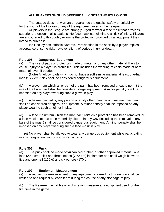#### **ALL PLAYERS SHOULD SPECIFICALLY NOTE THE FOLLOWING:**

 The League does not warrant or guarantee the quality, safety or suitability for the sport of Ice Hockey of any of the equipment used in the League.

 All players in the League are strongly urged to wear a face mask that provides superior protection in all situations. No face mask can eliminate all risk of injury. Players are encouraged to thoroughly examine the protection provided by all equipment they intend to purchase.

 Ice Hockey has intrinsic hazards. Participation in the sport by a player implies acceptance of some risk, however slight, of serious injury or death.

#### **Rule 305. Dangerous Equipment**

(a) The use of pads or protectors made of metal, or of any other material likely to cause injury to a player, is prohibited. This includes the wearing of casts made of hard material, even if padded.

 (Note) All elbow pads which do not have a soft similar material at least one-half inch (1.27 cm) thick shall be considered dangerous equipment.

(b) A glove from which all or part of the palm has been removed or cut to permit the use of the bare hand shall be considered illegal equipment. A minor penalty shall be imposed on any player wearing such a glove in play.

(c) A helmet painted by any person or entity other than the original manufacturer shall be considered dangerous equipment. A minor penalty shall be imposed on any player wearing such a helmet in play.

(d) A face mask from which the manufacturer's chin protection has been removed, or a face mask that has been materially altered in any way (including the removal of any bars of the mask) shall be considered dangerous equipment. A minor penalty shall be imposed on any player wearing such a face mask in play.

(e) No player shall be allowed to wear any dangerous equipment while participating in any League function or sponsored activity.

#### **Rule 306. Puck**

(a) The puck shall be made of vulcanized rubber, or other approved material, one inch (2.54 cm) thick and three inches (7.62 cm) in diameter and shall weigh between five and one-half (156 g) and six ounces (170 g).

#### **Rule 307. Equipment Measurement**

(a) A request for measurement of any equipment covered by this section shall be limited to one request by each team during the course of any stoppage of play.

(b) The Referee may, at his own discretion, measure any equipment used for the first time in the game.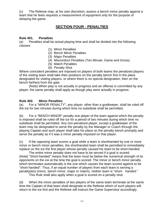(c) The Referee may, at his own discretion, assess a bench minor penalty against a team that he feels requests a measurement of equipment only for the purpose of delaying the game.

# **SECTION FOUR - PENALTIES**

#### **Rule 401. Penalties**

(a) Penalties shall be actual playing time and shall be divided into the following classes:

- (1) Minor Penalties
- (2) Bench Minor Penalties
- (3) Major Penalties
- (4) Misconduct Penalties (Ten Minute, Game and Gross)
- (5) Match Penalties
- (6) Penalty Shot

Where coincident penalties are imposed on players of both teams the penalized players of the visiting team shall take their positions on the penalty bench first in the place designated for visiting players, or where there is no special designation, then on the bench farthest from the gate.

 (Note) When play is not actually in progress and an offense is committed by any player, the same penalty shall apply as though play were actually in progress.

#### **Rule 402. Minor Penalties**

(a) For a "MINOR PENALTY", any player, other than a goalkeeper, shall be ruled off the ice for two minutes during which time no substitute shall be permitted.

(b) For a "BENCH MINOR" penalty one player of the team against which the penalty is imposed shall be ruled off the ice for a period of two minutes during which time no substitute shall be permitted. Any non-penalized player, except a goalkeeper of the team may be designated to serve the penalty by the Manager or Coach through the playing Captain and such player shall take his place on the penalty bench promptly and serve the penalty as if it was a minor penalty imposed on that player.

(c) If the opposing team scores a goal while a team is shorthanded by one or more minor or bench minor penalties, the shorthanded team shall be permitted to immediately replace on the ice the first player whose penalty caused his team to be short-handed.

 The entire minor penalty does not have to be served if a goal is scored. (Note) "Short-handed" means that the team must be below the numerical strength of its opponents on the ice at the time the goal is scored. The minor or bench minor penalty which terminates automatically is the one which causes the team scored against to be "short-handed". Thus, if an equal number of players from each team is serving a penalty(ies) (minor, bench minor, major or match), neither team is "short- handed."

This Rule shall also apply when a goal is scored on a penalty shot.

(d) When the minor penalties of two players of the same team terminate at the same time the Captain of that team shall designate to the Referee which of such players will return to the ice first and the Referee will instruct the Game Supervisor accordingly.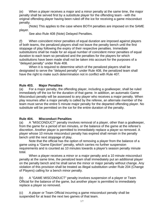(e) When a player receives a major and a minor penalty at the same time, the major penalty shall be served first by a substitute player for the offending team - with the original offending player having been ruled off the ice for receiving a game misconduct penalty.

 (Note) This applies to the case where BOTH penalties are imposed on the SAME player.

See also Rule 408 (Note) Delayed Penalties.

(f) When coincident minor penalties of equal duration are imposed against players of both teams, the penalized players shall not leave the penalty bench until the first stoppage of play following the expiry of their respective penalties. Immediate substitutions shall be made for an equal number of coincident minor penalties of equal duration to each team so penalized and the penalties for the players for which substitutions have been made shall not be taken into account for the purposes of a "delayed penalty" under Rule 408.

 When it is required to determine which of the penalized players shall be designated to serve the "delayed penalty" under Rule 408, the penalized team shall have the right to make such determination not in conflict with Rule 407.

# **Rule 403. Major Penalties**

(a) For a major penalty, the offending player, including a goalkeeper, shall be ruled immediately off the ice for the duration of that game. In addition, an automatic Game Misconduct penalty will be assessed to any player who receives a major penalty. When play resumes after a major penalty is called by the referee, an alternate member of the team must serve the entire 5 minute major penalty for the departed offending player. No substitute will be permitted on the ice for the entire duration of the penalty.

# **Rule 404. Misconduct Penalties**

(a) A "MISCONDUCT" penalty involves removal of a player, other than a goalkeeper, from the game for a period of ten minutes, or the balance of the game at the referee's discretion. Another player is permitted to immediately replace a player so removed. A player whose 10 minute misconduct penalty has expired shall remain in the penalty bench until the next stoppage of play.

 Note that the official has the option of removing a player from the balance of a game using a "Game Ejection" penalty, which carries no further suspension requirements and is counted as 10 minutes towards a player's season penalty minute total.

 When a player receives a minor or a major penalty and a 10 minute misconduct penalty at the same time, the penalized team shall immediately put an additional player on the penalty bench and he shall serve the minor or major penalty without change. Any violation of this provision shall be treated as illegal substitution under Rule 204 (Change of Players) calling for a bench minor penalty.

(b) A "GAME MISCONDUCT" penalty involves suspension of a player or Team Official for the balance of the game, but another player is permitted to immediately replace a player so removed.

(c) A player or Team Official incurring a game misconduct penalty shall be suspended for at least the next two games of that team.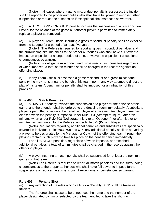(Note) In all cases where a game misconduct penalty is assessed, the incident shall be reported to the proper authorities who shall have full power to impose further suspensions or reduce the suspension if exceptional circumstances so warrant.

(d) A "GROSS MISCONDUCT" penalty involves the suspension of a player or Team Official for the balance of the game but another player is permitted to immediately replace a player so removed.

(e) A player or Team Official incurring a gross misconduct penalty shall be expelled from the League for a period of at least five years.

 (Note 1) The Referee is required to report all gross misconduct penalties and the surrounding circumstances to the proper authorities who shall have full power to impose an expulsion of a longer period of time, or waive the expulsion if exceptional circumstances so warrant.

 (Note 2) For all game misconduct and gross misconduct penalties regardless of when imposed, a total of ten minutes shall be charged in the records against an offending player.

(f) If any Team Official is assessed a game misconduct or a gross misconduct penalty, he may not sit near the bench of his team, nor in any way attempt to direct the play of his team. A bench minor penalty shall be imposed for an infraction of this provision.

#### **Rule 405. Match Penalties**

(a) A "MATCH" penalty involves the suspension of a player for the balance of the game, and the offender shall be ordered to the dressing room immediately. A substitute player is permitted to replace the penalized player after five minutes playing time has elapsed when the penalty is imposed under Rule 603 (Attempt to Injure); after ten minutes when under Rule 608 (Deliberate Injury to an Opponent); or after five or ten minutes, as designated by the Referee, under Rule 625 (Kicking Player).

 (Note) Regulations regarding additional penalties and substitutes are specifically covered in individual Rules 603, 608 and 625; any additional penalty shall be served by a player to be designated by the Manager or Coach of the offending team through the playing Captain, such player to take his place on the penalty bench immediately.

 For all "MATCH" penalties, regardless of when imposed, or prescribed additional penalties, a total of ten minutes shall be charged in the records against the offending player.

(b) A player incurring a match penalty shall be suspended for at least the next ten games of that team.

 (Note) The Referee is required to report all match penalties and the surrounding circumstances to the proper authorities who shall have full power to impose further suspensions or reduce the suspensions, if exceptional circumstances so warrant.

#### **Rule 406. Penalty Shot**

(a) Any infraction of the rules which calls for a "Penalty Shot" shall be taken as follows:

 The Referee shall cause to be announced the name and the number of the player designated by him or selected by the team entitled to take the shot (as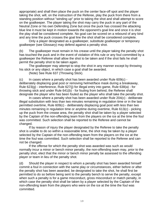appropriate) and shall then place the puck on the center face-off spot and the player taking the shot, will, on the instruction of the Referee, play the puck from there from a standing position without "winding up" prior to taking the shot and shall attempt to score on the goalkeeper. The player taking the shot may carry the puck in any part of the Neutral Zone or his own Defending Zone but once the puck has crossed the attacking blue line it must be kept in motion towards the opponent's goal line and once it is shot the play shall be considered complete. No goal can be scored on a rebound of any kind and any time the puck crosses the goal line the shot shall be considered complete.

 Only a player designated as a goalkeeper, substitute goalkeeper or temporary goalkeeper (see Glossary) may defend against a penalty shot.

(b) The goalkeeper must remain in his crease until the player taking the penalty shot has touched the puck and in the event of violation of this rule or any foul committed by a goalkeeper the Referee shall allow the shot to be taken and if the shot fails he shall permit the penalty shot to be taken again.

 The goalkeeper may attempt to stop the shot in any manner except by throwing his stick or any object, in which case a goal shall be awarded.

(Note) See Rule 637 (Throwing Stick).

 $(c)$  In cases where a penalty shot has been awarded under Rule 609 $(c)$  deliberately displacing goal post or removing helmet/face mask during a breakaway, Rule 623(g) - interference, Rule 627(j) for illegal entry into game, Rule 638(a) - for throwing stick and under Rule 641(b) - for fouling from behind, the Referee shall designate the player who has been fouled as the player who shall take the penalty shot.

 In cases where a penalty shot has been awarded under Rule 204(c) - deliberate illegal substitution with less than two minutes remaining in regulation time or in the last permitted overtime, Rule 609(c) - deliberately displacing goal post with less than two minutes remaining in regulation time or anytime during overtime, Rule 613(c) - picking up the puck from the crease area, the penalty shot shall be taken by a player selected by the Captain of the non-offending team from the players on the ice at the time the foul was committed. Such selection shall be reported to the Referee and cannot be changed.

 If by reason of injury the player designated by the Referee to take the penalty shot is unable to do so within a reasonable time, the shot may be taken by a player selected by the Captain of the non-offending team from the players on the ice at the time the foul was committed. Such selection shall be reported to the Referee and cannot be changed.

 If the offense for which the penalty shot was awarded was such as would normally incur a minor or bench minor penalty, the non-offending team may, prior to the penalty shot, elect that the minor or bench minor penalty be assessed to the offending player or team in lieu of the penalty shot.

(d) Should the player in respect to whom a penalty shot has been awarded himself commit a foul in connection with the same play or circumstances, either before or after the penalty shot has been awarded, be designated to take the shot, he shall first be permitted to do so before being sent to the penalty bench to serve the penalty, except when such a penalty is for a game misconduct, gross misconduct or match penalty, in which case the penalty shot shall be taken by a player selected by the Captain of the non-offending team from the players who were on the ice at the time the foul was committed.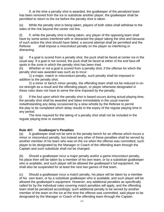If, at the time a penalty shot is awarded, the goalkeeper of the penalized team has been removed from the ice to substitute another player, the goalkeeper shall be permitted to return to the ice before the penalty shot is taken.

(e) While the penalty shot is being taken, players of both sides shall withdraw to the sides of the rink beyond the center red line.

(f) If, while the penalty shot is being taken, any player of the opposing team shall have by some action interfered with or distracted the player taking the shot and because of such action the shot should have failed, a second attempt shall be permitted and the Referee shall impose a misconduct penalty on the player so interfering or distracting.

(g) If a goal is scored from a penalty shot, the puck shall be faced at center ice in the usual way. If a goal is not scored, the puck shall be faced at either of the end face-off spots in the zone in which the penalty shot has been tried.

(h) Whether or not a goal is scored from a penalty shot, if the offense for which the penalty shot was awarded was such as to incur:

 1) a major, match or misconduct penalty, such penalty shall be imposed in addition to the penalty shot.

 2) a minor or bench minor penalty, the offending team shall not be reduced in onice strength as a result and the offending player, or player otherwise designated in these rules does not have to serve the time imposed by the penalty.

(i) If the foul upon which the penalty shot is based occurs during actual playing time, the penalty shot shall be awarded and taken immediately in the usual manner notwithstanding any delay occasioned by a slow whistle by the Referee to permit the play to be completed which delay results in the expiry of the regular playing time in any period.

 The time required for the taking of a penalty shot shall not be included in the regular playing time or overtime.

# **Rule 407. Goalkeeper's Penalties**

(a) A goalkeeper shall not be sent to the penalty bench for an offense which incurs a minor or misconduct penalty, but instead any other of these penalties shall be served by another member of his team who was on the ice when the offense was committed, such player to be designated by the Manager or Coach of the offending team through the Captain and such substitute shall not be changed.

(b) Should a goalkeeper incur a major penalty and/or a game misconduct penalty, his place then will be taken by a member of his own team, or by a substitute goalkeeper who is available, and such player will be allowed the goalkeeper's full equipment. He shall also be suspended for at least the next two games of that team.

(c) Should a goalkeeper incur a match penalty, his place will be taken by a member of his own team, or by a substitute goalkeeper who is available, and such player will be allowed the goalkeeper's equipment. However, any additional penalties as specifically called for by the individual rules covering match penalties will apply, and the offending team shall be penalized accordingly; such additional penalty to be served by another member of the team on the ice at the time the offense was committed, said player to be designated by the Manager or Coach of the offending team through the Captain.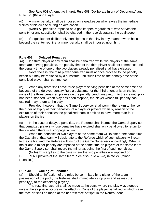See Rule 603 (Attempt to Injure), Rule 608 (Deliberate Injury of Opponents) and Rule 625 (Kicking Player).

(d) A minor penalty shall be imposed on a goalkeeper who leaves the immediate vicinity of his crease during an altercation.

 (Note) All penalties imposed on a goalkeeper, regardless of who serves the penalty, or any substitution shall be charged in the records against the goalkeeper.

(e) If a goalkeeper deliberately participates in the play in any manner when he is beyond the center red line, a minor penalty shall be imposed upon him.

#### **Rule 408. Delayed Penalties**

 (a) If a third player of any team shall be penalized while two players of the same team are serving penalties, the penalty time of the third player shall not commence until the penalty time of one of the two players already penalized shall have elapsed.

 Nevertheless, the third player penalized must at once proceed to the penalty bench but may be replaced by a substitute until such time as the penalty time of the penalized player shall commence.

(b) When any team shall have three players serving penalties at the same time and because of the delayed penalty Rule a substitute for the third offender is on the ice, none of the three penalized players on the penalty bench may return to the ice until play has been stopped. When play has been stopped, the player whose full penalty has expired, may return to the play.

 Provided, however, that the Game Supervisor shall permit the return to the ice in the order of expiry of their penalties, of a player or players when by reason of the expiration of their penalties the penalized team is entitled to have more than four players on the ice.

(c) In the case of delayed penalties, the Referee shall instruct the Game Supervisor that penalized players whose penalties have expired shall only be allowed to return to the ice when there is a stoppage in play.

 When the penalties of two players of the same team will expire at the same time the Captain of that team will designate to the Referee which of such players will return to the ice first and the Referee will instruct the Game Supervisor accordingly. When a major and a minor penalty are imposed at the same time on players of the same team, the Game Supervisor shall record the minor as being the first of such penalties.

 (Note) This applies to the case where the two penalties are imposed on DIFFERENT players of the same team. See also Rule 402(e) (Note 2), (Minor Penalties).

#### **Rule 409. Calling of Penalties**

(a) Should an infraction of the rules be committed by a player of the team in possession of the puck, the Referee shall immediately stop play and assess the penalty(s) to the deserving player(s).

 The resulting face-off shall be made at the place where the play was stopped unless the stoppage occurs in the Attacking Zone of the player penalized in which case the face-off shall be made at the nearest face-off spot in the Neutral Zone.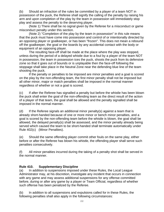(b) Should an infraction of the rules be committed by a player of a team NOT in possession of the puck, the Referee shall signify the calling of the penalty by raising his arm and upon completion of the play by the team in possession will immediately stop play and assess the penalty to the deserving player.

 (Note 1) There shall be no signal given by the Referee for a misconduct or game misconduct penalty under this section.

 (Note 2) "Completion of the play by the team in possession" in this rule means that the puck must have come into possession and control of or intentionally directed by an opposing player or goalkeeper, or has been "frozen". This does not mean a rebound off the goalkeeper, the goal or the boards by any accidental contact with the body or equipment of an opposing player.

 The resulting face-off shall be made at the place where the play was stopped, unless during the period of a delayed whistle due to a foul by a player of the team NOT in possession, the team in possession ices the puck, shoots the puck from its defensive zone so that it goes out of bounds or is unplayable then the face-off following the stoppage shall take place in the Neutral Zone near the defending blue line of the team shooting the puck.

 If the penalty or penalties to be imposed are minor penalties and a goal is scored on the play by the non-offending team, the first minor penalty shall not be imposed but all other minor, major or match penalties shall be imposed in the normal manner regardless of whether or not a goal is scored.

(c) If after the Referee has signalled a penalty but before the whistle has been blown the puck shall enter the goal of the non-offending team as the direct result of the action of a player of that team, the goal shall be allowed and the penalty signalled shall be imposed in the normal manner.

(d) If the Referee signals an additional minor penalty(s) against a team that is already short-handed because of one or more minor or bench minor penalties, and a goal is scored by the non-offending team before the whistle is blown, the goal shall be allowed, the delayed penalty(s) shall be assessed, and the minor penalty already being served which caused the team to be short-handed shall terminate automatically under Rule 402(c) (Minor Penalties).

(e) Should the same offending player commit other fouls on the same play, either before or after the Referee has blown his whistle, the offending player shall serve such penalties consecutively.

(f) All minor penalties incurred during the taking of a penalty shot shall be served in the normal manner.

#### **Rule 410. Supplementary Discipline**

(a) In addition to suspensions imposed under these Rules, the Local League Administrator may, at his discretion, investigate any incident that occurs in connection with any game and may assess additional suspensions for any offense committed before, during or after any game by a player or Team Official, regardless of whether such offense has been penalized by the Referee.

(b) In addition to all suspensions and expulsions called for in these Rules, the following penalties shall also apply in the following circumstances: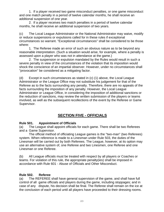1. If a player received two game misconduct penalties, or one game misconduct and one match penalty in a period of twelve calendar months, he shall receive an additional suspension of one year.

 2. If a player receives two match penalties in a period of twelve calendar months, he shall receive an additional suspension of two years.

(c) The Local League Administrator or the National Administrator may waive, modify or reduce suspensions or expulsions called for in these rules if exceptional circumstances so warrant. "Exceptional circumstances" shall be considered to be those where:

 1. The Referee made an error of such an obvious nature as to be beyond any reasonable interpretation. (Such a situation would arise, for example, where a penalty is assessed upon a player who was not in attendance at the game.)

 2. The suspension or expulsion mandated by the Rules would result in such a severe penalty in view of the circumstances of the violation that its imposition would shock the conscience of an impartial observer. However, under no circumstances shall "provocation" be considered as a mitigating factor.

(d) Except in such circumstances as stated in (c) (1) above, the Local League Administrator or the League Office may not substitute his judgement for that of the Referee as to the facts surrounding any penalty. Therefore, there are no appeals of the facts surrounding the imposition of any penalty. However, the Local League Administrator or League Office, in considering the imposition of additional sanctions or the reduction of sanctions, may review the written submission of the players or teams involved, as well as the subsequent recollections of the event by the Referee or Game Supervisor.

# **SECTION FIVE - OFFICIALS**

# **Rule 501. Appointment of Officials**

(a) The League shall appoint officials for each game. There shall be two Referees and a Game Supervisor.

 The official method of officiating League games is the "two-man" (two Referees) system. When reference is made to a Linesman under Rule 503, the duties of the Linesman will be carried out by both Referees. The League, however, at its option may use an alternative system of, one Referee and two Linesmen, one Referee and one Linesman or one Referee.

(b) All League officials must be treated with respect by all players or Coaches or teams. For violation of this rule, the appropriate penalty(ies) shall be imposed in accordance with Rule 601 - Abuse of Officials and Other Misconduct.

#### **Rule 502. Referee**

(a) The REFEREE shall have general supervision of the game, and shall have full control of all game officials and players during the game, including stoppages; and in case of any dispute, his decision shall be final. The Referee shall remain on the ice at the conclusion of each period until all players have proceeded to their dressing rooms.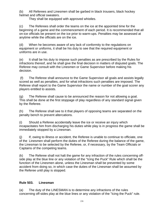(b) All Referees and Linesmen shall be garbed in black trousers, black hockey helmet and official sweaters.

They shall be equipped with approved whistles.

(c) The Referees shall order the teams on the ice at the appointed time for the beginning of a game and the commencement of each period. It is recommended that all on-ice officials be present on the ice prior to warm-ups. Penalties may be assessed at anytime while the officials are on the ice.

(d) When he becomes aware of any lack of conformity to the regulations on equipment or uniforms, it shall be his duty to see that the required equipment or uniforms are in use.

(e) It shall be his duty to impose such penalties as are prescribed by the Rules for infractions thereof, and he shall give the final decision in matters of disputed goals. The Referee may consult with the Linesmen or Game Supervisor before making his decision.

 (f) The Referee shall announce to the Game Supervisor all goals and assists legally scored as well as penalties, and for what infractions such penalties are imposed. The Referee shall report to the Game Supervisor the name or number of the goal scorer any players entitled to assists.

(g) The Referee shall cause to be announced the reason for not allowing a goal. This shall be done at the first stoppage of play regardless of any standard signal given by the Referee.

(h) The Referee shall see to it that players of opposing teams are separated on the penalty bench to prevent altercations.

(i) Should a Referee accidentally leave the ice or receive an injury which incapacitates him from discharging his duties while play is in progress the game shall be immediately stopped by a Linesman.

(j) If, owing to illness or accident, the Referee is unable to continue to officiate, one of the Linesmen shall perform the duties of the Referee during the balance of the game, the Linesman to be selected by the Referee, or, if necessary, by the Team Officials or Captains of the competing teams.

(k) The Referee shall not halt the game for any infraction of the rules concerning offside play at the blue line or any violation of the "Icing the Puck" Rule which shall be the function of the Linesmen alone, unless the Linesman shall be prevented by some accident from doing so, in which case the duties of the Linesman shall be assumed by the Referee until play is stopped.

# **Rule 503. Linesman**

(a) The duty of the LINESMAN is to determine any infractions of the rules concerning off-sides play at the blue lines or any violation of the "Icing the Puck" rule.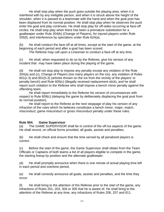He shall stop play when the puck goes outside the playing area, when it is interfered with by any ineligible person, and when it is struck above the height of the shoulder, when it is passed to a teammate with the hand and when the goal post has been displaced from its normal position. He shall stop play when he observes the puck enter the goal and play continues. He shall stop play for off-sides occurring at face-off circles. He shall stop play when there has been a premature substitution for a goalkeeper under Rule 204(b) (Change of Players), for injured players under Rule 205(f), and interference by spectators under Rule 624(a).

(b) He shall conduct the face-off at all times, except at the start of the game, at the beginning of each period and after a goal has been scored.

The Referee may call upon a Linesman to conduct a face-off at any time.

(c) He shall, when requested to do so by the Referee, give his version of any incident that may have taken place during the playing of the game.

(d) He shall not stop play to impose any penalty except any violation of the Rule 204(a) and (c), Change of Players (too many players on the ice), any violation of Rules 601(c.3) and 601(h.3) (articles thrown on the ice from the vicinity of the players' or penalty bench) and Rule 605(c) (illegally received replacement stick), and he shall report such violation to the Referee who shall impose a bench minor penalty against the offending team.

 He shall report immediately to the Referee his version of circumstances with respect to Rule 609(c) (delaying the game by deliberately displacing the goal post from its normal position).

 He shall report to the Referee at the next stoppage of play his version of any infraction of the rules which he believes constitutes a bench minor, major, match, misconduct, game misconduct or gross misconduct penalty under these rules.

#### **Rule 504. Game Supervisor**

(a) The GAME SUPERVISOR shall be in control of the off-ice aspects of the game. He shall record, on official forms provided, all goals, assists and penalties.

(b) He shall check and ensure that the time served by all penalized players is correct.

(c) Before the start of the game, the Game Supervisor shall obtain from the Team Officials or Captains of both teams a list of all players eligible to compete in the game, the starting lineup by position and the alternate goalkeeper.

(d) He shall promptly announce when there is one minute of actual playing time left in each period and overtime period.

(e) He shall correctly announce all goals, assists and penalties, and the time they occur.

(f) He shall bring to the attention of the Referee prior to the start of the game, any infractions of Rules 201, 203, 304 or 305 that he is aware of. He shall bring to the attention of the Referee at any time, any infractions of Rules 206, 207 and 611.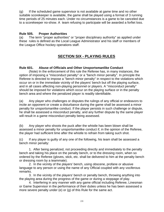(g) If the scheduled game supervisor is not available at game time and no other suitable scorekeeper is available, the game shall be played using a format of 3 running time periods of 25 minutes each. Under no circumstances is a game to be canceled due to a scorekeeper no-show. A team refusing to participate will be awarded a forfiet loss.

#### **Rule 505. Proper Authorities**

(a) The term "proper authorities" or "proper disciplinary authority" as applied under these rules is defined as the Local League Administrator and his staff or members of the League Office hockey operations staff.

# **SECTION SIX - PLAYING RULES**

#### **Rule 601. Abuse of Officials and Other Unsportsmanlike Conduct**

 (Note) In the enforcement of this rule the Referee has, in many instances, the option of imposing a "misconduct penalty" or a "bench minor penalty". In principle the Referee is directed to impose a "bench minor penalty" in respect to the violations which occur on or in the immediate vicinity of the players' bench but off the playing surface, and in all cases affecting non-playing personnel or players. A "misconduct penalty" should be imposed for violations which occur on the playing surface or in the penalty bench area and where the penalized player is readily identifiable.

(a) Any player who challenges or disputes the rulings of any official or endeavors to incite an opponent or create a disturbance during the game shall be assessed a minor penalty for unsportsmanlike conduct. If the player persists in such challenge or dispute, he shall be assessed a misconduct penalty, and any further dispute by the same player will result in a game misconduct penalty being assessed.

(b) Any player who shoots the puck after the whistle has been blown shall be assessed a minor penalty for unsportsmanlike conduct if, in the opinion of the Referee, the player had sufficient time after the whistle to refrain from taking such shot.

(c) If any player is guilty of any one of the following, his team shall be assessed a bench minor penalty:

 1. After being penalized, not proceeding directly and immediately to the penalty bench and taking his place on the penalty bench, or to the dressing room, when so ordered by the Referee (gloves, stick, etc. shall be delivered to him at the penalty bench or dressing room by a teammate).

 2. In the vicinity of the players' bench, using obscene, profane or abusive language to any person or using the name of any Official coupled with any vociferous remarks.

 3. In the vicinity of the players' bench or penalty bench, throwing anything into the playing area during the progress of the game or during a stoppage of play.

 4. Interfering in any manner with any game official including Referee, Linesman or Game Supervisor in the performance of their duties unless he has been assessed a more severe penalty under (e) or (g) of this Rule for the same act.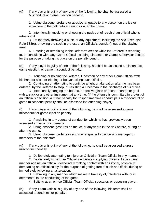(d) If any player is guilty of any one of the following, he shall be assessed a Misconduct or Game Ejection penalty:

1. Using obscene, profane or abusive language to any person on the ice or anywhere in the rink before, during or after the game.

 2. Intentionally knocking or shooting the puck out of reach of an official who is retrieving it.

 3. Deliberately throwing a puck, or any equipment, including the stick (see also Rule 638(c), throwing the stick in protest of an Official's decision), out of the playing area.

 4. Entering or remaining in the Referee's crease while the Referee is reporting to, or consulting with, any Game Official including Linesmen or Game Supervisor except for the purpose of taking his place on the penalty bench.

(e) If any player is guilty of one of the following, he shall be assessed a misconduct, game ejection, or game misconduct penalty:

 1. Touching or holding the Referee, Linesman or any other Game Official with his hand or stick, or tripping or bodychecking such Official.

 2. Continuing or attempting to continue a fight or altercation after he has been ordered by the Referee to stop, or resisting a Linesman in the discharge of his duties.

 3. Intentionally banging the boards, protective glass or dasher boards or goal with a stick or any other instrument at any time. (If the offense is committed in protest of an Official's decision, a minor penalty for unsportsmanlike conduct plus a misconduct or game misconduct penalty shall be assessed the offending player).

 $(f)$  If any player is quilty of any of the following, he shall be assessed a game misconduct or game ejection penalty:

 1. Persisting in any course of conduct for which he has previously been assessed a misconduct penalty.

 2. Using obscene gestures on the ice or anywhere in the rink before, during or after the game.

 3. Using obscene, profane or abusive language to the ice rink manager or members of the rink staff.

(g) If any player is guilty of any of the following, he shall be assessed a gross misconduct penalty:

1. Deliberately attempting to injure an Official or Team Official in any manner.

 2. Deliberately striking an Official, deliberately applying physical force in any manner against an Official, deliberately making contact with an Official, physically demeaning an official solely for the purpose of getting free of such an Official during or immediately following an altercation.

 3. Behaving in any manner which makes a travesty of, interferes with, or is detrimental to the conducting of the game.

4. Spitting at an on-ice Official, Team Official, spectator, or opposing player.

(h) If any Team Official is guilty of any one of the following, his team shall be assessed a bench minor penalty: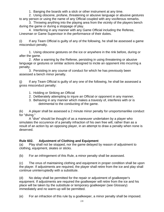1. Banging the boards with a stick or other instrument at any time.

 2. Using obscene, profane, threatening or abusive language or abusive gestures to any person or using the name of any Official coupled with any vociferous remarks.

 3. Throwing anything into the playing area from the vicinity of the players bench during the game or during a stoppage of play.

 4. Interfering in any manner with any Game Official including the Referee, Linesman or Game Supervisor in the performance of their duties.

(i) If any Team Official is guilty of any of the following, he shall be assessed a game misconduct penalty.

 1. Using obscene gestures on the ice or anywhere in the rink before, during or after the game.

 2. After a warning by the Referee, persisting in using threatening or abusive language or gestures or similar actions designed to incite an opponent into incurring a penalty.

 3. Persisting in any course of conduct for which he has previously been assessed a bench minor penalty.

 $(i)$  If any Team Official is quilty of any one of the following, he shall be assessed a gross misconduct penalty:

- 1. Holding or Striking an Official
- 2. Deliberately attempting to injure an Official or opponent in any manner.
- 3. Behaving in any manner which makes a travesty of, interferes with or is detrimental to the conducting of the game.

(k) A player shall be assessed a 2 minute minor penalty for unsportsmanlike conduct for "diving."

 A "dive" should be thought of as a maneuver undertaken by a player who simulates the occurence of a penalty infraction of his own free will, rather than as a result of an action by an opposing player, in an attempt to draw a penalty when none is deserved.

# **Rule 602. Adjustment of Clothing and Equipment**

(a) Play shall not be stopped, nor the game delayed by reason of adjustment to clothing, equipment, skates or sticks.

(b) For an infringement of this Rule, a minor penalty shall be assessed.

(c) The onus of maintaining clothing and equipment in proper condition shall be upon the player. If adjustments are required, the player shall retire from the ice and play shall continue uninterruptedly with a substitute.

(d) No delay shall be permitted for the repair or adjustment of goalkeeper's equipment. If adjustments are required the goalkeeper will retire from the ice and his place will be taken by the substitute or temporary goalkeeper (see Glossary) immediately and no warm-up will be permitted.

(e) For an infraction of this rule by a goalkeeper, a minor penalty shall be imposed.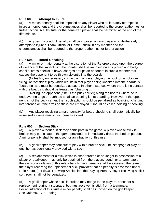#### **Rule 603. Attempt to Injure**

(a) A match penalty shall be imposed on any player who deliberately attempts to injure an opponent and the circumstances shall be reported to the proper authorities for further action. A substitute for the penalized player shall be permitted at the end of the fifth minute.

(b) A gross misconduct penalty shall be imposed on any player who deliberately attempts to injure a Team Official or Game Official in any manner and the circumstances shall be reported to the proper authorities for further action.

#### **Rule 604. Board-Checking**

(a) A minor or major penalty at the discretion of the Referee based upon the degree of violence of the impact with the boards, shall be imposed on any player who bodychecks, cross-checks, elbows, charges or trips an opponent in such a manner that causes the opponent to be thrown violently into the boards.

 (Note) Any unnecessary contact with a player playing the puck on an obvious "icing" or "off-sides" play which results in that player being knocked into the boards is "boarding" and must be penalized as such. In other instances where there is no contact with the boards it should be treated as "charging".

 "Rolling" an opponent (if he is the puck carrier) along the boards where he is endeavoring to go through too small an opening is not boarding. However, if the opponent is not the puck carrier, then such action should be penalized as boarding, charging, interference or if the arms or sticks are employed it should be called holding or hooking.

(b) Any player receiving a major penalty for board-checking shall automatically be assessed a game misconduct penalty as well.

# **Rule 605. Broken Stick**

(a) A player without a stick may participate in the game. A player whose stick is broken may participate in the game provided he immediately drops the broken portion. A minor penalty shall be imposed for an infraction of this rule.

(b) A goalkeeper may continue to play with a broken stick until stoppage of play or until he has been legally provided with a stick.

(c) A replacement for a stick which is either broken or no longer in possession of a player or goalkeeper may only be obtained from the players' bench or a teammate on the ice. For a violation of this rule a bench minor penalty shall be assessed the team of the player receiving the replacement stick provided that no penalty is assessed under Rule 601(c.3) or (h.3), Throwing Articles into the Playing Area. A player receiving a stick so thrown shall not be penalized.

(d) A goalkeeper whose stick is broken may not go to the players' bench for a replacement during a stoppage, but must receive his stick from a teammate. For an infraction of this Rule a minor penalty shall be imposed on the goalkeeper. See Rule 607 Butt-Ending.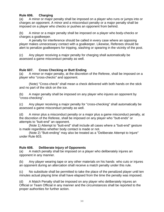#### **Rule 606. Charging**

(a) A minor or major penalty shall be imposed on a player who runs or jumps into or charges an opponent. A minor and a misconduct penalty or a major penalty shall be imposed on a player who checks or pushes an opponent from behind.

(b) A minor or a major penalty shall be imposed on a player who body-checks or charges a goalkeeper.

 A penalty for interference should be called in every case where an opposing player makes unnecessary contact with a goalkeeper. Likewise, Referees should be alert to penalize goalkeepers for tripping, slashing or spearing in the vicinity of the post.

(c) Any player receiving a major penalty for charging shall automatically be assessed a game misconduct penalty as well.

#### **Rule 607. Cross Checking or Butt Ending**

(a) A minor or major penalty, at the discretion of the Referee, shall be imposed on a player who "cross-checks" and opponent.

 (Note) "Cross-check" shall mean a check delivered with both hands on the stick and no part of the stick on the ice.

(b) A major penalty shall be imposed on any player who injures an opponent by "cross-checking".

(c) Any player receiving a major penalty for "cross-checking" shall automatically be assessed a game misconduct penalty as well.

(d) A minor plus a misconduct penalty or a major plus a game misconduct penalty, at the discretion of the Referee, shall be imposed on any player who "butt-ends" or attempts to "butt-end" an opponent.

 (Note 1) Attempt to "butt-end" shall include all cases where a "butt-end" gesture is made regardless whether body contact is made or not.

 (Note 2) "Butt-ending" may also be treated as a "Deliberate Attempt to Injure" under Rule 603.

# **Rule 608. Deliberate Injury of Opponents**

(a) A match penalty shall be imposed on a player who deliberately injures an opponent in any manner.

(b) Any player wearing tape or any other materials on his hands who cuts or injures an opponent during an altercation shall receive a match penalty under this rule.

(c) No substitute shall be permitted to take the place of the penalized player until ten minutes actual playing time shall have elapsed from the time the penalty was imposed.

(d) A Match Penalty shall be imposed on any player who deliberately injures an Official or Team Official in any manner and the circumstances shall be reported to the proper authorities for further action.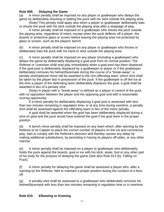#### **Rule 609. Delaying the Game**

(a) A minor penalty shall be imposed on any player or goalkeeper who delays the game by deliberately shooting or batting the puck with his stick outside the playing area.

 (Note) This penalty shall apply also when a player or goalkeeper deliberately bats or shoots the puck with his stick outside the playing area after a stoppage of play.

 A minor penalty shall be imposed on a goalkeeper who shoots the puck outside the playing area, regardless of intent, except when the puck deflects off a player, the boards or protective glass or screen before leaving the playing area not protected by glass or screen, such as the players' bench.

(b) A minor penalty shall be imposed on any player or goalkeeper who throws or deliberately bats the puck with his hand or stick outside the playing area.

(c) A minor penalty shall be imposed on any player (including a goalkeeper) who delays the game by deliberately displacing a goal post from its normal position. The Referee or Linesman shall stop play immediately when a goal post has been displaced. If the goal post is deliberately displaced by a goalkeeper or player or if the goalkeeper deliberately removes his helmet/facemask during the course of a "break-away", a penalty shot/optional minor will be awarded to the non-offending team, which shot shall be taken by the player last in possession of the puck. If the goalkeeper is off the ice at the time a player of the defending team deliberately displaces the goal, a goal shall be awarded in lieu of a penalty shot.

 (Note) A player with a "break-away" is defined as a player in control of the puck with no opposition between the player and the opposing goal and with a reasonable scoring opportunity.

 If a minor penalty for deliberately displacing a goal post is assessed with less than two minutes remaining in regulation time, or at any time during overtime, a penalty shot shall be assessed against the offending team in lieu of the minor penalty.

 A goal shall be awarded when the goal has been deliberately displaced during a shot on goal and the puck would have entered the goal if the goal were in the proper position.

(d) A bench minor penalty shall be imposed on any team which, after warning by the Referee to its Captain to place the correct number of players on the ice and commence play, fails to comply with the Referee's direction and thereby causes any delay by making additional substitutions, by persisting in having its players off-sides, or any other manner.

(e) A minor penalty shall be imposed on a player or goalkeeper who deliberately holds the puck against the boards, goal or ice with his stick, skate, foot or any other part of his body for the purpose of delaying the game (See also Rule 613 (b), Falling on Puck).

(f) A minor penalty for delaying the game shall be assessed a player who, after a warning by the Referee, fails to maintain a proper position during the conduct of a faceoff.

(g) A penalty shot shall be assessed to a goalkeeper who deliberately removes his helmet/facemask with less than two minutes remaining in regulation time or in overtime.

#### **Rule 610. Elbowing or Kneeing**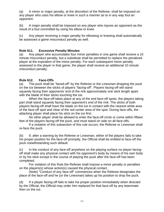(a) A minor or major penalty, at the discretion of the Referee, shall be imposed on any player who uses his elbow or knee in such a manner as to in any way foul an opponent.

(b) A major penalty shall be imposed on any player who injures an opponent as the result of a foul committed by using his elbow or knee.

(c) Any player receiving a major penalty for elbowing or kneeing shall automatically be assessed a game misconduct penalty as well.

#### **Rule 611. Excessive Penalty Minutes**

(a) Any player who accumulates four minor penalties in one game shall receive a 10 minute misconduct penalty, but a substitute shall be permitted to replace the penalized player at the expiration of the minor penalty. For each subsequent minor penalty assessed to the player in that game, the player shall receive an additional 10 minute misconduct penalty.

#### **Rule 612. Face-Offs**

(a) The puck shall be "faced-off" by the Referee or the Linesman dropping the puck on the ice between the sticks of players "facing-off". Players facing-off will stand squarely facing their opponents' end of the rink approximately one stick length apart with the blade of their sticks touching the ice.

 When the face-off takes place at any of the end face-off spots, the players taking part shall stand squarely facing their opponent's end of the rink. The sticks of both players facing-off shall have the blade on the ice in contact with the nearest white area of the face-off spot and clear of the red center area of the spot. During face-offs, the attacking player shall place his stick on the ice first.

 No other player shall be allowed to enter the face-off circle or come within fifteen feet of the players facing-off the puck, and must stand on side on all face-offs.

 If a violation of this subsection of this rule occurs, the Referee or Linesman shall re-face the puck.

(b) If, after a warning by the Referee or Linesman, either of the players fails to take his proper position for the face-off promptly, the Official shall be entitled to face-off the puck notwithstanding such default.

(c) In the conduct of any face-off anywhere on the playing surface no player facingoff shall make any physical contact with his opponent's body by means of his own body or by his stick except in the course of playing the puck after the face-off has been completed.

 For violation of this Rule the Referee shall impose a minor penalty or penalties on the players(s) whose action(s) caused the physical contact.

 (Note) "Conduct of any face-off" commences when the Referee designates the place of the face-off and he (or the Linesman) takes up his position to drop the puck.

(d) If a player facing-off fails to take his proper position immediately when directed by the Official, the Official may order him replaced for that face-off by any teammate then on the ice.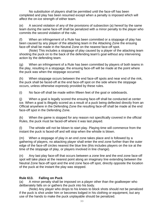No substitution of players shall be permitted until the face-off has been completed and play has been resumed except when a penalty is imposed which will affect the on-ice strength of either team.

(e) A second violation of any of the provisions of subsection (a) hereof by the same team during the same face-off shall be penalized with a minor penalty to the player who commits the second violation of the rule.

(f) When an infringement of a Rule has been committed or a stoppage of play has been caused by any player of the attacking team in the Attacking Zone the ensuing face-off shall be made in the Neutral Zone on the nearest face-off spot.

 (Note) This includes a stoppage of play caused by a player of the attacking team shooting the puck on to the back of the defending team's goal without any intervening action by the defending team.

(g) When an infringement of a Rule has been committed by players of both teams in the play, resulting in a stoppage, the ensuing face-off will be made at the point where the puck was when the stoppage occurred.

(h) When stoppage occurs between the end face-off spots and near end of the rink, the puck shall be faced-off at the end face-off spot on the side where the stoppage occurs, unless otherwise expressly provided by these rules.

(i) No face-off shall be made within fifteen feet of the goal or sideboards.

(j) When a goal is legally scored the ensuing face-off shall be conducted at center ice. When a goal is illegally scored as a result of a puck being deflected directly from an Official anywhere in the Defending Zone the resulting face-off shall be made at the end face-off spot in the Defending Zone.

(k) When the game is stopped for any reason not specifically covered in the official Rules, the puck must be faced-off where it was last played.

(l) The whistle will not be blown to start play. Playing time will commence from the instant the puck is faced-off and will stop when the whistle is blown.

(m) When a stoppage of play in an end zone takes place and is followed by a gathering of players, no attacking player shall enter the end zone further than the outer edge of the face-off circles nearest the blue line (this includes players on the ice at the time of the stoppage of play, or players involved in line change).

(n) Any last play face-off that occurs between a zone line and the end zone face-off spot will take place at the nearest point along an imaginary line extending between the Neutral Zone face-off spot and the end zone face-off spot, directly opposite the location of the puck at the instant the play was stopped.

#### **Rule 613. Falling on Puck**

(a) A minor penalty shall be imposed on a player other than the goalkeeper who deliberately falls on or gathers the puck into his body.

 (Note) Any player who drops to his knees to block shots should not be penalized if the puck is shot under him or becomes lodged in his clothing or equipment, but any use of the hands to make the puck unplayable should be penalized.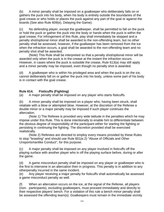(b) A minor penalty shall be imposed on a goalkeeper who deliberately falls on or gathers the puck into his body, when his body is entirely outside the boundaries of the goal crease or who holds or places the puck against any part of the goal or against the boards (See also Rule 609(e), Delaying the Game).

(c) No defending player, except the goalkeeper, shall be permitted to fall on the puck or hold the puck or gather the puck into the body or hands when the puck is within the goal crease. For infringement of this Rule, play shall immediately be stopped and a penalty shot/optional minor shall be awarded to the non-offending team, but no other penalty shall be assessed, however, if the goalkeeper has been removed from the ice when the infraction occurs, a goal shall be awarded to the non-offending team and no penalty shot shall be awarded.

 (Note) This Rule shall be interpreted so that a penalty shot/optional minor will be awarded only when the puck is in the crease at the instant the infraction occurs. However, in cases where the puck is outsidde the crease, Rule 613(a) may still apply and a minor penalty may be imposed, even though no penalty shot is awarded.

(d) A goalkeeper who is within his privileged area and when the puck is on the ice, cannot deliberately fall on or gather the puck into his body, unless some part of his body is in contact with the goal crease.

#### **Rule 614. Fisticuffs (Fighting)**

(a) A major penalty shall be imposed on any player who starts fisticuffs.

(b) A minor penalty shall be imposed on a player who, having been struck, shall retaliate with a blow or attempted blow. However, at the discretion of the Referee a double minor or a major penalty may be imposed if such player continues the altercation.

 (Note 1) The Referee is provided very wide latitude in the penalties which he may impose under this Rule. This is done intentionally to enable him to differentiate between the obvious degree of responsibility of the participant either for starting the fighting or persisting in continuing the fighting. The discretion provided shall be exercised realistically.

 (Note 2) Referees are directed to employ every means provided by these Rules to stop "brawling" and should use Rule 601(e.2) "Abuse of Officials and Other Unsportsmanlike Conduct", for this purpose.

(c) A major penalty shall be imposed on any player involved in fisticuffs off the playing surface with another player who is off the playing surface before, during or after the game.

(d) A game misconduct penalty shall be imposed on any player or goalkeeper who is the first to intervene in an altercation then in progress. This penalty is in addition to any otherpenalty incurred in the same incident.

(e) Any player receiving a major penalty for fisticuffs shall automatically be assessed a game misconduct penalty as well.

(f) When an altercation occurs on the ice, at the signal of the Referee, all players (non- participants), excluding goalkeepers, must proceed immediately and directly to their respective players' bench. For a violation of this rule a bench minor penalty shall be assessed the offending team(s). Goalkeepers must remain in the immediate vicinity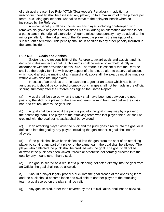of their goal crease. See Rule 407(d) (Goalkeeper's Penalties). In addition, a misconduct penalty shall be assessed any player, up to a maximum of three players per team, excluding goalkeepers, who fail to move to their players' bench when so instructed by the Referee.

 A minor penalty shall be imposed on any player, including goalkeeper, who removes his glove or gloves and/or drops his stick during an altercation and who is not a participant in the original altercation. A game misconduct penalty may be added to the minor penalty if, in the judgement of the Referee, the player is the instigator of a subsequent altercation. This penalty shall be in addition to any other penalty incurred in the same incident.

#### **Rule 615. Goals and Assists**

 (Note) It is the responsibility of the Referee to award goals and assists, and his decision in this respect is final. Such awards shall be made or withheld strictly in accordance with the provisions of this Rule. Therefore, it is essential that the Referee shall be thoroughly familiar with every aspect of this rule, be alert to observe all actions which could affect the making of any award and, above all, the awards must be made or withheld with absolute impartiality.

 In cases of an obvious error in awarding a goal or an assist which has been announced, it should be corrected promptly but changes shall not be made in the official scoring summary after the Referee has signed the Game Report.

(a) A goal shall be scored when the puck shall have been put between the goal posts by the stick of a player of the attacking team, from in front, and below the cross bar, and entirely across the goal line.

(b) A goal shall be scored if the puck is put into the goal in any way by a player of the defending team. The player of the attacking team who last played the puck shall be credited with the goal but no assist shall be awarded.

(c) If an attacking player kicks the puck and the puck goes directly into the goal or is deflected into the goal by any player, including the goalkeeper, a goal shall not be allowed.

(d) If the puck shall have been deflected into the goal from the shot of an attacking player by striking any part of a player of the same team, the goal shall be allowed. The player who deflected the puck shall be credited with the goal. The goal shall not be allowed if the puck has been kicked, thrown or otherwise deliberately directed into the goal by any means other than a stick.

(e) If a goal is scored as a result of a puck being deflected directly into the goal from an Official the goal shall not be allowed.

(f) Should a player legally propel a puck into the goal crease of the opposing team and the puck should become loose and available to another player of the attacking team, a goal scored on the play shall be valid.

(g) Any goal scored, other than covered by the Official Rules, shall not be allowed.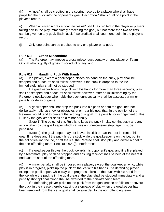(h) A "goal" shall be credited in the scoring records to a player who shall have propelled the puck into the opponents' goal. Each "goal" shall count one point in the player's record.

(i) When a player scores a goal, an "assist" shall be credited to the player or players taking part in the play immediately preceding the goal, but not more than two assists can be given on any goal. Each "assist" so credited shall count one point in the player's record.

(j) Only one point can be credited to any one player on a goal.

# **Rule 616. Gross Misconduct**

(a) The Referee may impose a gross misconduct penalty on any player or Team Official who is guilty of gross misconduct of any kind.

# **Rule 617. Handling Puck With Hands**

(a) If a player, except a goalkeeper, closes his hand on the puck, play shall be stopped and a face-off shall follow; however, if the puck is dropped to the ice immediately, play shall not be stopped.

 If a goalkeeper holds the puck with his hands for more than three seconds, play shall be stopped and a face-off shall follow; however, after an initial warning by the Referee, a goalkeeper who holds the puck unnecessarily shall be assessed a minor penalty for delay of game.

(b) A goalkeeper shall not drop the puck into his pads or onto the goal net, nor deliberately pile up snow or obstacles at or near his goal that, in the opinion of the Referee, would tend to prevent the scoring of a goal. The penalty for infringement of this Rule by the goalkeeper shall be a minor penalty.

 (Note 1) The object of this Rule is to keep the puck in play continuously and any action taken by the goalkeeper which causes an unnecessary stoppage must be penalized.

 (Note 2) The goalkeeper may not leave his stick or part thereof in front of his goal. If he does and if the puck hits the stick while the goalkeeper is on the ice, but in the act of leaving the ice, or off the ice, the Referee shall stop play and award a goal to the non-offending team. See Rule 623(f), Interference.

(c) If a goalkeeper throws the puck towards his opponent's goal and it is first played by a teammate, play shall be stopped and ensuing face-off shall be held at the nearest end face-off spot of the offending team.

(d) A minor penalty shall be imposed on a player, except the goalkeeper, who, while play is in progress, picks up the puck off the ice with his hands. If a defending player, except the goalkeeper, while play is in progress, picks up the puck with his hand from the ice while the puck is in the goal crease, the play shall be stopped immediately and a penalty shot/optional minor shall be awarded to the non-offending team.

 If a defending player picks up the puck from the goal crease or falls on or covers the puck in the crease thereby causing a stoppage of play when the goalkeeper has been removed from the ice, a goal shall be awarded to the non-offending team.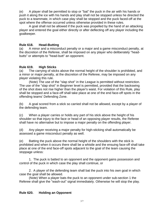(e) A player shall be permitted to stop or "bat" the puck in the air with his hands or push it along the ice with his hands and play shall not be stopped unless he directed the puck to a teammate, in which case play shall be stopped and the puck faced-off at the spot where the offense occurred unless otherwise provided in these rules.

 A goal shall not be allowed if the puck was propelled by the hand of an attacking player and entered the goal either directly or after deflecting off any player including the goalkeeper.

#### **Rule 618. Head-Butting**

(a) A minor and a misconduct penalty or a major and a game misconduct penalty, at the discretion of the Referee, shall be imposed on any player who deliberately "headbutts" or attempts to "head-butt" an opponent.

#### **Rule 619. High Sticks**

(a) The carrying of sticks above the normal height of the shoulder is prohibited, and a minor or major penalty, at the discretion of the Referee, may be imposed on any player violating this rule.

 (Note) The use of the "slap shot" in the League is permitted without restriction. The use of the "slap shot" in Beginner level is permitted, provided that the backswing of the shot does not rise higher than the player's waist. For violation of this Rule, play shall be stopped and a face-off shall take place at one of the end face-off spots in the offending teams' Defending Zone.

(b) A goal scored from a stick so carried shall not be allowed, except by a player of the defending team.

(c) When a player carries or holds any part of his stick above the height of his shoulder so that injury to the face or head of an opposing player results, the Referee shall have no alternative but to impose a major penalty on the offending player.

(d) Any player receiving a major penalty for high-sticking shall automatically be assessed a game misconduct penalty as well.

(e) Batting the puck above the normal height of the shoulders with the stick is prohibited and when it occurs there shall be a whistle and the ensuing face-off shall take place at one of the end face-off spots adjacent to the goal of the team causing the stoppage unless:

 1. The puck is batted to an opponent and the opponent gains possession and control of the puck in which case the play shall continue, or

 2. A player of the defending team shall bat the puck into his own goal in which case the goal shall be allowed.

 (Note) When a player bats the puck to an opponent under sub-section 1 the Referee shall give the "wash-out" signal immediately. Otherwise he will stop the play.

#### **Rule 620. Holding an Opponent**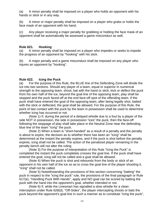(a) A minor penalty shall be imposed on a player who holds an opponent with his hands or stick or in any way.

(b) A minor or major penalty shall be imposed on a player who grabs or holds the face mask of an opponent with his hand.

(c) Any player receiving a major penalty for grabbing or holding the face mask of an opponent shall be automatically be assessed a game misconduct as well.

#### **Rule 621. Hooking**

(a) A minor penalty shall be imposed on a player who impedes or seeks to impede the progress of an opponent by "hooking" with his stick.

(b) A major penalty and a game misconduct shall be imposed on any player who injures an opponent by "hooking".

#### **Rule 622. Icing the Puck**

(a) For the purpose of this Rule, the BLUE line of the Defending Zone will divide the ice into two sections. Should any player of a team, equal or superior in numerical strength to the opposing team, shoot, bat with the hand or stick, kick or deflect the puck from his own half of the ice, beyond the goal line of the opposing team, play shall be stopped and the puck faced-off at the end face-off spot of the offending team. If the puck shall have entered the goal of the opposing team, after being legally shot, batted with the stick or deflected, the goal shall be allowed. For the purpose of this Rule, the point of last contact with the puck by the team in possession shall be used to determine whether icing has occurred or not.

 (Note 1) If, during the period of a delayed whistle due to a foul by a player of the side NOT in possession, the side in possession "ices" the puck, then the face-off following the stoppage of play shall take place in the Neutral Zone near the defending blue line of the team "icing" the puck.

 (Note 2) When a team is "short-handed" as a result of a penalty and the penalty is about to expire, the decision as to whether there has been an "icing" shall be determined at the instant the penalty expires, and if the puck is shot before the penalty expires, icing shall not be called. The action of the penalized player remaining in the penalty bench will not alter the ruling.

 (Note 3) For the purpose of interpretation of this Rule "Icing the Puck" is completed the instant the puck completely crosses the goal line. If the puck shall have entered the goal, icing will not be called and a goal shall be allowed.

 (Note 4) When the puck is shot and rebounds from the body or stick of an opponent in his own half of the ice so as to cross the goal line of the player shooting it, "icing" shall not be called.

 (Note 5) Notwithstanding the provisions of this section concerning "batting" the puck in respect to the "icing the puck" rule, the provisions of the final paragraph or Rule 617(e), "Handling Puck With Hands", apply and NO goal can be scored by batting the puck with the hand into the opponent's goal, whether intended or not.

 (Note 6) If, while the Linesman has signalled a slow whistle for a clean interception under Rule 628(d), "Off-Sides", the player intercepting shoots or bats the puck beyond the opponent's goal line in such a manner as to constitute "icing the puck",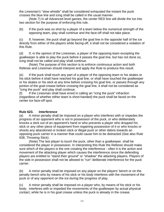the Linesman's "slow whistle" shall be considered exhausted the instant the puck crosses the blue line and icing shall be called in the usual manner.

 (Note 7) In all Advanced level games, the center RED line will divide the ice into two section for the purpose of enforcing this rule.

(b) If the puck was so shot by a player of a team below the numerical strength of the opposing team, play shall continue and the face-off shall not take place.

(c) If, however, the puck shall go beyond the goal line in the opposite half of the ice directly from either of the players while facing-off, it shall not be considered a violation of this Rule.

(d) If, in the opinion of the Linesman, a player of the opposing team excepting the goalkeeper is able to play the puck before it passes the goal line, but has not done so, icing shall not be called and play shall continue.

 (Note) The purpose of this section is to enforce continuous action and both Referee and Linesman should interpret and apply the Rule to produce this result.

(e) If the puck shall touch any part of a player of the opposing team or his skates or his stick before it shall have reached his goal line, or shall have touched the goalkeeper or his skates or his stick at any time before crossing his goal line, or passes through any portion of the goal crease before crossing the goal line, it shall not be considered as "icing the puck" and play shall continue.

(f) If the Linesman shall have erred in calling an "icing the puck" infraction (regardless of whether either team is short-handed) the puck shall be faced on the center ice face-off spot.

#### **Rule 623. Interference**

(a) A minor penalty shall be imposed on a player who interferes with or impedes the progress of an opponent who is not in possession of the puck, or who deliberately knocks a stick out of an opponent's hand or who prevents a player who dropped his stick or any other piece of equipment from regaining possession of it or who knocks or shoots any abandoned or broken stick or illegal puck or other debris towards an opposing puck carrier in a manner that could cause him to be distracted (See also Rule 638, Throwing Stick).

 (Note) The last player to touch the puck, other than a goalkeeper, shall be considered the player in possession. In interpreting this Rule the Referee should make sure which of the players is the one creating the interference - often it is the action and movement of the attacking player which causes the interference since the defending players are entitled to "stand their ground" or "shadow" the attacking players. Players of the side in possession shall not be allowed to "run" deliberate interference for the puck carrier.

(b) A minor penalty shall be imposed on any player on the players' bench or on the penalty bench who by means of his stick or his body interferes with the movement of the puck or of any opponent on the ice during the progress of play.

(c) A minor penalty shall be imposed on a player who, by means of his stick or his body, interferes with or impeded the movements of the goalkeeper by actual physical contact, while he is in his goal crease unless the puck is already in the crease.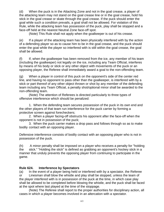(d) When the puck is in the Attacking Zone and not in the goal crease, a player of the attacking team may not stand on the goal crease line or in the goal crease, hold his stick in the goal crease or skate through the goal crease. If the puck should enter the goal while such a condition prevails, a goal shall not be allowed. For violation of this Rule, while the attacking team has possession of the puck, play shall be stopped and a face-off held at the nearest Neutral Zone face-off spot.

(Note) This Rule shall not apply when the goalkeeper is out of his crease.

(e) If a player of the attacking team has been physically interfered with by the action of a defending player so as to cause him to be in the goal crease, and the puck should enter the goal while the player so interfered with is still within the goal crease, the goal shall be allowed.

(f) If, when the goalkeeper has been removed from the ice, any member of his team (including the goalkeeper) not legally on the ice, including any Team Official, interferes by means of his body or stick or any other object with movements of the puck or an opposing player, the Referee shall immediately award a goal to the non-offending team.

(g) When a player in control of this puck on the opponent's side of the center red line, and having no opponent to pass other than the goalkeeper, is interfered with by a stick or part thereof of any other object thrown or shot by any member of the defending team including any Team Official, a penalty shot/optional minor shall be awarded to the non-offending team.

 (Note) The attention of Referees is directed particularly to three types of offensive interference which should be penalized:

 1. When the defending team secures possession of the puck in its own end and the other players of that team run interference for the puck carrier by forming a protective screen against forecheckers;

 2. When a player facing-off obstructs his opponent after the face-off when the opponent is not in possession of the puck;

 3. When the puck carrier makes a drop pass and follows through so as to make bodily contact with an opposing player.

Defensive interference consists of bodily contact with an opposing player who is not in possession of the puck.

(h) A minor penalty shall be imposed on a player who receives a penalty for "holding the stick." "Holding the stick" is defined as grabbing an opponent's hockey stick in a manner that unduly prevents the opposing player from continuing to participate in the game.

#### **Rule 624. Interference by Spectators**

(a) In the event of a player being held or interfered with by a spectator, the Referee or Linesman shall blow the whistle and play shall be stopped, unless the team of the player interfered with is in possession of the puck at the time, in which case play shall be allowed to be completed before blowing the whistle, and the puck shall be faced at the spot where last played at the time of the stoppage.

 (Note) The Referee shall report to the proper authorities for disciplinary action, all cases in which a player becomes involved in an altercation with a spectator.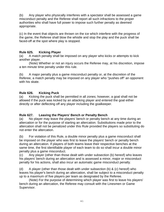(b) Any player who physically interferes with a spectator shall be assessed a game misconduct penalty and the Referee shall report all such infractions to the proper authorities who shall have full power to impose such further penalty as deemed appropriate.

(c) In the event that objects are thrown on the ice which interfere with the progress of the game, the Referee shall blow the whistle and stop the play and the puck shall be faced-off at the spot where play is stopped.

#### **Rule 625. Kicking Player**

(a) A match penalty shall be imposed on any player who kicks or attempts to kick another player.

 (Note) Whether or not an injury occurs the Referee may, at his discretion, impose a ten minute time penalty under this rule.

(b) A major penalty plus a game misconduct penalty or, at the discretion of the Referee, a match penalty may be imposed on any player who "pushes off" an opponent with his skate.

#### **Rule 626. Kicking Puck**

(a) Kicking the puck shall be permitted in all zones; however, a goal shall not be allowed if the puck was kicked by an attacking player and entered the goal either directly or after deflecting off any player including the goalkeeper.

# **Rule 627. Leaving the Players' Bench or Penalty Bench**

(a) No player may leave the players' bench or penalty bench at any time during an altercation or for the purpose of starting an altercation. Substitutions made prior to the altercation shall not be penalized under this Rule provided the players so substituting do not enter the altercation.

(b) For violation of this Rule, a double minor penalty plus a game misconduct shall be imposed on the player who was first to leave the players' bench or penalty bench during an altercation. If players of both teams leave their respective benches at the same time, the first identifiable player of each team to do so shall incur a double minor penalty plus a game misconduct.

(c) Any player (other than those dealt with under subsection (b) hereof) who leaves his players' bench during an altercation and is assessed a minor, major or misconduct penalty for his actions, shall also incur an automatic game misconduct penalty.

(d) A player (other than those dealt with under subsection (b) & (c) hereof) who leaves his player's bench during an altercation, shall be subject to a misconduct penalty up to a maximum of five players per team as designated by the Referee.

 (Note) For the purpose of determining which player was first to leave his players' bench during an altercation, the Referee may consult with the Linesmen or Game Supervisor.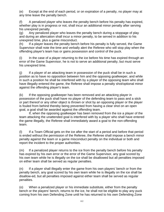(e) Except at the end of each period, or on expiration of a penalty, no player may at any time leave the penalty bench.

(f) A penalized player who leaves the penalty bench before his penalty has expired, whether play is in progress or not, shall incur an additional minor penalty after serving his unexpired penalty.

(g) Any penalized player who leaves the penalty bench during a stoppage of play and during an altercation shall incur a minor penalty, to be served in addition to his unexpired time, plus a game misconduct.

(h) If a player leaves the penalty bench before his penalty is fully served, the Game Supervisor shall note the time and verbally alert the Referee who will stop play when the offending player's team has or gains possession and control of the puck.

(i) In the case of a player returning to the ice before his time has expired through an error of the Game Supervisor, he is not to serve an additional penalty, but must serve his unexpired time.

 $(i)$  If a player of an attacking team in possession of the puck shall be in such a position as to have no opposition between him and the opposing goalkeeper, and while in such a position he shall be interfered with by a player of the opposing team who shall have illegally entered the game, the Referee shall impose a penalty shot/optional minor against the offending player's team.

(k) If the opposing goalkeeper has been removed and an attacking player in possession of the puck shall have no player of the defending team to pass and a stick or part thereof or any other object is thrown or shot by an opposing player or the player is fouled from behind thereby being prevented from having a clear shot on an open goal, a goal shall be awarded against the offending team.

 If, when the opposing goalkeeper has been removed from the ice a player of the team attacking the unattended goal is interfered with by a player who shall have entered the game illegally, the Referee shall immediately award a goal to the non-offending team.

(l) If a Team Official gets on the ice after the start of a period and before that period is ended without the permission of the Referee, the Referee shall impose a bench minor penalty against the team or a game misconduct penalty on the individual or both and report the incident to the proper authorities.

(m) If a penalized player returns to the ice from the penalty bench before his penalty has expired by his own error or the error of the Game Supervisor, any goal scored by his own team while he is illegally on the ice shall be disallowed but all penalties imposed on either team shall be served as regular penalties.

(n) If a player shall illegally enter the game from his own players' bench or from the penalty bench, any goal scored by his own team while he is illegally on the ice shall be disallow-ed, but all penalties imposed against either team shall be served as regular penalties.

(o) When a penalized player or his immediate substitute, either from the penalty bench or the players' bench, returns to the ice, he shall not be eligible to play any puck coming from his own Defending Zone until he has returned to his own Defending Zone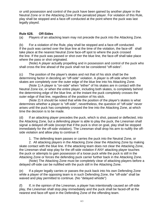or until possession and control of the puck have been gained by another player in the Neutral Zone or in the Attacking Zone of the penalized player. For violation of this Rule, play shall be stopped and a face-off conducted at the point where the puck was last legally played.

#### **Rule 628. Off-Sides**

(a) Players of an attacking team may not precede the puck into the Attacking Zone.

(b) For a violation of the Rule, play shall be stopped and a face-off conducted. If the puck was carried over the blue line at the time of the violation, the face-off shall take place at the nearest Neutral Zone face-off spot to where the puck crossed the line. If the puck was passed or shot over the blue line, the face-off shall take place where the pass or shot originated.

 (Note) A player actually propelling and in possession and control of the puck who shall cross the line ahead of the puck shall not be considered "off-sides".

(c) The position of the player's skates and not that of his stick shall be the determining factor in deciding an "off-side" violation. A player is off-side when both skates are completely over the outer edge of the blue line into his Attacking Zone.

 (Note 1) A player is "on-side" when "either" of his skates are in contact with the Neutral Zone ice, or when the entire player, including both skates, is completely behind the determining edge of the blue line, at the instant the puck completely crosses the outer edge of that line, regardless of the position of his stick.

 (Note 2) It should be noted that while the position of the player's skates is what determines whether a player is "off-side", nevertheless, the question of "off-side" never arises until the puck has completely crossed the line into the Attacking Zone, at which time the decision is to be made.

(d) If an attacking player precedes the puck, which is shot, passed or deflected, into the Attacking Zone, but a defending player is able to play the puck, the Linesman shall signal a delayed off-side (except that if the puck is shot on goal, play shall be stopped immediately for the off-side violation). The Linesman shall drop his arm to nullify the offside violation and allow play to continue if:

1. The defending team passes or carries the puck into the Neutral Zone, or

 2. All attacking players in the Attacking Zone clear the Attacking Zone by making skate contact with the blue line. If the attacking team does not clear the Attacking Zone, the Linesman shall stop play for the off-side violation if ANY attacking player touches the puck or attempts to gain possession of a loose puck while the puck is still in the Attacking Zone or forces the defending puck carrier further back in the Attacking Zone.

 (Note) The Attacking Zone must be completely clear of attacking players before a delayed off-side can be nullified with the puck still in the Attacking Zone.

(e) If a player legally carries or passes the puck back into his own Defending Zone while a player of the opposing team is in such Defending Zone, the "off-side" shall be waived and play permitted to continue. (No "delayed whistle")

(f) If, in the opinion of the Linesman, a player has intentionally caused an off-side play, the Linesman shall stop play immediately and the puck shall be faced-off at the nearest end face-off spot in the Defending Zone of the offending team.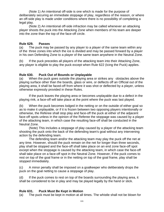(Note 1) An intentional off-side is one which is made for the purpose of deliberately securing an immediate stoppage of play, regardless of the reason, or where an off-side play is made under conditions where there is no possibility of completing a legal play.

 (Note 2) An intentional off-side infraction may be called whenever an attacking player shoots the puck into the Attacking Zone when members of his team are deeper into the zone than the top of the face-off circle.

#### **Rule 629. Passes**

(a) The puck may be passed by any player to a player of the same team within any of the three zones into which the ice is divided and may be passed forward by a player in his own Defending Zone to a player of the same team anywhere in the Neutral Zone.

(b) If the puck precedes all players of the attacking team into their Attacking Zone, any player is eligible to play the puck except when Rule 622 (Icing the Puck) applies.

# **Rule 630. Puck Out of Bounds or Unplayable**

(a) When the puck goes outside the playing area or strikes any obstacles above the playing surface other than the boards, glass or wire, or deflects off an Official out of the playing area, it shall be faced-off from where it was shot or deflected by a player, unless otherwise expressly provided in these Rules.

 If the puck leaves the playing area or becomes unplayable due to a defect in the playing rink, a face-off will take place at the point where the puck was last played.

(b) When the puck becomes lodged in the netting or on the outside of either goal so as to make it unplayable, or if it is frozen between two opposing players intentionally or otherwise, the Referee shall stop play and face-off the puck at either of the adjacent face-off spots unless in the opinion of the Referee the stoppage was caused by a player of the attacking team, in which case the resulting face-off shall be conducted in the Neutral Zone.

 (Note) This includes a stoppage of play caused by a player of the attacking team shooting the puck onto the back of the defending team's goal without any intervening action by the defending team.

 The defending team and/or the attacking team may play the puck off the net at any time. However, should the puck remain on the net for longer than three seconds, play shall be stopped and the face-off shall take place on an end zone face-off spot except when the stoppage is caused by the attacking team, in which case the face-off shall take place on a face-off spot in the Neutral Zone. However, if the puck comes to rest on top of the goal frame or in the netting on top of the goal frame, play shall be stopped immediately.

(c) A minor penalty shall be imposed on a goalkeeper who deliberately drops the puck on the goal netting to cause a stoppage of play.

(d) If the puck comes to rest on top of the boards surrounding the playing area, it shall be considered to be in play and may be played legally by the hand or stick.

# **Rule 631. Puck Must Be Kept in Motion**

(a) The puck must be kept in motion at all times. The whistle shall not be blown for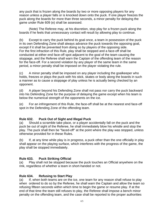any puck that is frozen along the boards by two or more opposing players for any reason unless a player falls or is knocked down onto the puck. If one player freezes the puck along the boards for more than three seconds, a minor penalty for delaying the game under Rule 609 (e) shall be assessed.

 (Note) The Referee may, at his discretion, stop play for a frozen puck along the boards if he feels that unnecessary contact will result by allowing play to continue.

(b) Except to carry the puck behind its goal once, a team in possession of the puck in its own Defending Zone shall always advance the puck towards the opposing goal, except if it shall be prevented from doing so by players of the opposing side. For the first infraction of this Rule, play shall be stopped and a face-off shall be conducted at either end face-off spot adjacent to the goal of the team causing the stoppage, and the Referee shall warn the Captain of the offending team of the reason for the face-off. For a second violation by any player of the same team in the same period, a minor penalty shall be imposed on the player violating the rule.

(c) A minor penalty shall be imposed on any player including the goalkeeper who holds, freezes or plays the puck with his stick, skates or body along the boards in such a manner as to cause a stoppage of play unless he is actually being checked by an opponent.

(d) A player beyond his Defending Zone shall not pass nor carry the puck backward into his Defending Zone for the purpose of delaying the game except when his team is below the numerical strength of the opponents on the ice.

(e) For an infringement of this Rule, the face-off shall be at the nearest end face-off spot in the Defending Zone of the offending team.

#### **Rule 632. Puck Out of Sight and Illegal Puck**

(a) Should a scramble take place, or a player accidentally fall on the puck and the puck be out of sight of the Referee, he shall immediately blow his whistle and stop the play. The puck shall then be "faced-off" at the point where the play was stopped, unless otherwise provided for in these Rules.

(b) If, at any time while play is in progress, a puck other than the one officially in play shall appear on the playing surface, which interferes with the progress of the game, the play shall be stopped immediately.

# **Rule 633. Puck Striking Official**

(a) Play shall not be stopped because the puck touches an Official anywhere on the rink, regardless of whether a team in short-handed or not.

# **Rule 634. Refusing to Start Play**

(a) If, when both teams are on the ice, one team for any reason shall refuse to play when ordered to do so by the Referee, he shall warn the Captain and allow the team so refusing fifteen seconds within which time to begin the game or resume play. If at the end of that time the team still refuses to play, the Referee shall impose a bench minor penalty on the offending team, and the case shall be reported to the proper authorities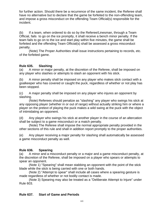for further action. Should there be a recurrence of the same incident, the Referee shall have no alternative but to declare that the game be forfeited to the non-offending team, and impose a gross misconduct on the offending Team Official(s) responsible for the incident.

(b) If a team, when ordered to do so by the Referee/Linesman, through a Team Official, fails to go on the ice promptly, it shall receive a bench minor penalty. If the team fails to go on to the ice and start play within five minutes, the game shall be forfeited and the offending Team Official(s) shall be assessed a gross misconduct penalty.

 (Note) The Proper Authorities shall issue instructions pertaining to records, etc. of the forfeited game.

#### **Rule 635. Slashing**

(a) A minor or major penalty, at the discretion of the Referee, shall be imposed on any player who slashes or attempts to slash an opponent with his stick.

(b) A minor penalty shall be imposed on any player who makes stick contact with a goalkeeper who has covered or caught the puck, regardless of whether or not play has been stopped.

(c) A major penalty shall be imposed on any player who injures an opponent by slashing.

 (Note) Referees should penalize as "slashing" any player who swings his stick at any opposing player (whether in or out of range) without actually striking him or where a player on the pretext of playing the puck makes a wild swing at the puck with the object of intimidating an opponent.

(d) Any player who swings his stick at another player in the course of an altercation shall be subject to a game misconduct or a match penalty.

 (Note) The Referee shall impose the normal appropriate penalty provided in the other sections of this rule and shall in addition report promptly to the proper authorities.

(e) Any player receiving a major penalty for slashing shall automatically be assessed a game misconduct penalty as well.

#### **Rule 636. Spearing**

(a) A minor and a misconduct penalty or a major and a game misconduct penalty, at the discretion of the Referee, shall be imposed on a player who spears or attempts to spear an opponent.

 (Note 1) "Spearing" shall mean stabbing an opponent with the point of the stick blade while the stick is being carried with one or both hands.

 (Note 2) "Attempt to spear" shall include all cases where a spearing gesture is made regardless of whether or not bodily contact is made.

 (Note 3) Spearing may also be treated as a "Deliberate Attempt to Injure" under Rule 603.

#### **Rule 637. Start of Game and Periods**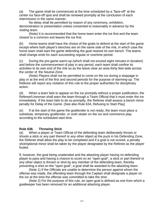(a) The game shall be commenced at the time scheduled by a "face-off" at the center ice face-off spot and shall be renewed promptly at the conclusion of each intermission in the same manner.

 No delay shall be permitted by reason of any ceremony, exhibition, demonstration or presentation unless consented to reasonably in advance by the visiting team.

 (Note) It is recommended that the home team enter the ice first and the team closest to a common exit leaves the ice first.

(b) Home teams shall have the choice of the goals to defend at the start of the game except where both player's benches are on the same side of the rink, in which case the home team shall start the game defending the goal nearest its own bench. The teams shall change ends for each succeeding regular or overtime period.

(c) During the pre-game warm-up (which shall not exceed eight minutes in duration) and before the commencement of play in any period, each team shall confine its activities to its own end of the rink so as the leave clear an area thirty feet wide across the center of the Neutral Zone.

 (Note) Players shall not be permitted to come on the ice during a stoppage in play or at the end of the first and second periods for the purpose of warming-up. The Referee will report any violation of this rule to the proper authorities for disciplinary action.

(d) When a team fails to appear on the ice promptly without a proper justification, the Referee/Linesman shall warn the team through a Team Official that it must enter the ice immediately. If the team fails to do so promptly, the Referee shall assess a bench minor penalty for Delay of the Game. (See also Rule 634, Refusing to Start Play)

(e) If at the start of the game the goaltender is not ready, the team must place a substitute, temporary goaltender, or sixth skater on the ice and commence play according to the scheduled start time.

#### **Rule 638. Throwing Stick**

(a) When a player or Team Official of the defending team deliberately throws or shoots a stick or any part thereof or any other object at the puck in his Defending Zone, the Referee shall allow the play to be completed and if a goal is not scored, a penalty shot/optional minor shall be taken by the player designated by the Referee as the player fouled.

If, however, the goal being unattended and the attacking player having no defending player to pass and having a chance to score on an "open goal", a stick or part thereof or any other object is thrown or shot by any member of the defending team, thereby preventing a shot on the "open goal", a goal shall be awarded to the attacking team.

 (Note 1) If the Officials are unable to determine the person against whom the offense was made, the offending team through the Captain shall designate a player on the ice at the time the offense was committed to take the shot.

 (Note 2) For the purpose of this rule, an open goal is defined as one from which a goalkeeper has been removed for an additional attacking player.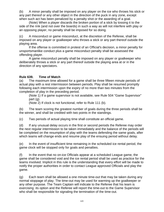(b) A minor penalty shall be imposed on any player on the ice who throws his stick or any part thereof or any other object in the direction of the puck in any zone, except when such act has been penalized by a penalty shot or the awarding of a goal.

 (Note) When a player discards the broken portion of a stick by tossing it to the side of the rink (and not over the boards) in such a way as will not interfere with play or an opposing player, no penalty shall be imposed for so doing.

(c) A misconduct or game misconduct, at the discretion of the Referee, shall be imposed on any player or goalkeeper who throws a stick or any part thereof outside the playing area.

 If the offense is committed in protest of an Official's decision, a minor penalty for unsportsmanlike conduct plus a game misconduct penalty shall be assessed the offending player.

 A game misconduct penalty shall be imposed on any player or goalkeeper who deliberately throws a stick or any part thereof outside the playing area at or in the direction of any spectators.

#### **Rule 639. Time of Match**

(a) The maximum time allowed for a game shall be three fifteen minute periods of actual play with a rest intermission between periods. Play shall be resumed promptly following each intermission upon the expiry of no more than two minutes from the completion of play in the preceding period.

(Note 1) If a game supervisor is not available, see Rule 504 "Game Supervisor" part (g).

(Note 2) If clock is not functional, refer to Rule 111 (b).

(b) The team scoring the greatest number of goals during the three periods shall be the winner, and shall be credited with two points in the standings.

(c) Two periods of actual playing time shall constitute an official game.

(d) If any unusual delay occurs in the first or second periods the Referee may order the next regular intermission to be taken immediately and the balance of the periods will be completed on the resumption of play with the teams defending the same goals, after which teams will change ends and resume play of the ensuing period without delay.

(e) In the event of insufficient time remaining in the scheduled ice rental period, the game clock will be stopped only for goals and penalties.

(f) In the event that no on-ice Officials appear at a scheduled League game, the game shall be considered void and the ice rental period shall be used as practice for the teams involved. Implicit in this rule is the understanding that every effort will be made to notify the proper authorities in order to contact League approved Officials and play the game.

(g) Each team shall be allowed a one minute time-out that may be taken during any normal stoppage of play. The time-out may be used for warming up the goalkeeper or any other purpose. The Team Captain will indicate to the Referee that his team is exercising its option and the Referee will report the time-out to the Game Supervisor who shall be responsible for signaling the termination of the time-out.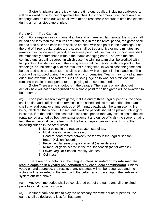(Note) All players on the ice when the time-out is called. including goalkeepers, will be allowed to go to their respective benches. Only one time-out can be taken at a stoppage and no time-out will be allowed after a reasonable amount of time has elapsed during a normal stoppage of play.

#### **Rule 640. Tied Games**

(a) For a regular season game, if at the end of three regular periods, the score shall be tied and less than five minutes are remaining in the ice rental period, the game shall be declared a tie and each team shall be credited with one point in the standings. If at the end of three regular periods, the score shall be tied and five or more minutes are remaining in the ice rental period, an overtime period of five minutes running time shall be immediately commenced without the teams changing ends. The overtime shall continue until a goal is scored, in which case the winning team shall be credited with two points in the standings and the losing team shall be credited with one point in the standings, or until the expiry of five minutes running time, in which case the game shall be declared a tie and each team shall be credited with one point in the standings. The clock will be stopped during the overtime only for penalties. Teams may not call a timeout during overtime. The Referee shall be sole judge as to whether sufficient time remains in the ice rental period for the playing of an overtime period.

 (Note) There are no shootouts in the League. The results of any shootout actually held will not be recognized and a single point for a tied game will be awarded to both teams.

(b) For a post-season playoff game, if at the end of three regular periods, the score shall be tied and sufficient time remains in the scheduled ice rental period, the teams shall play additional overtime periods of 10 minutes each, with the team scoring first being declared the winner. Subsequent overtime periods should be played until a goal is scored. If at the end of the scheduled ice rental period (and any extensions of the ice rental period granted by both arena management and on-ice officials) the score remains tied, the winner shall be the team with the better regular season record, using the following criteria in the order listed:

- 1. Most points in the regular season standings.
- 2. Most wins in the regular season.
- 3. Head-to-head record between the teams in the regular season.
- 4. Better Division Record
- 5. Fewer regular season goals against (better defense).
- 6. Number of goals scored in the regular season (better offense).
- 7. Fewer Regular Season Penalty Minutes
- 8. Coin toss.

 There are no shootouts in the League **unless so voted on by intermediate league captains in a yearly poll conducted by each local administrator**. Unless voted on and approved, the results of any shootout will not be recognized and the victory will be awarded to the team with the better record based upon the tie-breaking system outlined above.

(c) Any overtime period shall be considered part of the game and all unexpired penalties shall remain in force.

(d) If either team declines to play the necessary overtime period or periods, the game shall be declared a loss for that team.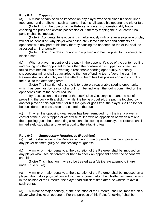#### **Rule 641. Tripping**

(a) A minor penalty shall be imposed on any player who shall place his stick, knee, foot, arm, hand or elbow in such a manner that it shall cause his opponent to trip or fall.

 (Note 1) If, in the opinion of the Referee, a player is unquestionably hookchecking the puck and obtains possession of it, thereby tripping the puck carrier, no penalty shall be imposed.

 (Note 2) Accidental trips occurring simultaneously with or after a stoppage of play will not be penalized. Any player who deliberately leaves his feet and contacts an opponent with any part of his body thereby causing the opponent to trip or fall shall be assessed a minor penalty.

 (Note 3) This Rule does not apply to a player who has dropped to his knee(s) to block a shot.

(b) When a player, in control of the puck in the opponent's side of the center red line and having no other opponent to pass than the goalkeeper, is tripped or otherwise fouled from behind, thus preventing a reasonable scoring opportunity, a penalty shot/optional minor shall be awarded to the non-offending team. Nevertheless, the Referee shall not stop play until the attacking team has lost possession and control of the puck to the defending team.

 (Note) The intention of this rule is to restore a reasonable scoring opportunity which has been lost by reason of a foul from behind when the foul is committed on the opponent's side of the center red line.

 By "possession and control of the puck" (See Glossary) is meant the act of propelling the puck with a stick. If, while it is being propelled, the puck is touched by another player or his equipment or hits the goal or goes free, the player shall no longer be considered "in possession and control of the puck".

(c) If, when the opposing goalkeeper has been removed from the ice, a player in control of the puck is tripped or otherwise fouled with no opposition between him and the opposing goal, thus preventing a reasonable scoring opportunity, the Referee shall immediately stop play and award a goal to the attacking team.

#### **Rule 642. Unnecessary Roughness (Roughing)**

(a) At the discretion of the Referee, a minor or major penalty may be imposed on any player deemed guilty of unnecessary roughness.

(b) A minor or major penalty, at the discretion of the Referee, shall be imposed on any player who uses his forearm or hand to check an opponent above the opponent's shoulder.

 (Note) This infraction may also be treated as a "deliberate attempt to injure" under Rule 603(a).

(c) A minor or major penalty, at the discretion of the Referee, shall be imposed on a player who makes physical contact with an opponent after the whistle has been blown if, in the opinion of the Referee, the player had sufficient time after the whistle to avoid such contact.

(d) A minor or major penalty, at the discretion of the Referee, shall be imposed on a player who checks an opponent. For the purpose of this Rule, "checking" shall be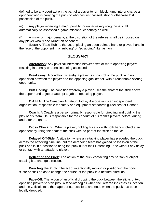defined to be any overt act on the part of a player to run, block, jump into or charge an opponent who is carrying the puck or who has just passed, shot or otherwise lost possession of the puck.

(e) Any player receiving a major penalty for unnecessary roughness shall automatically be assessed a game misconduct penalty as well.

(f) A minor or major penalty, at the discretion of the referee, shall be imposed on any player who "Face Rubs" an opponent.

 (Note) A "Face Rub" is the act of placing an open palmed hand or gloved hand in the face of the opponent in a "rubbing" or "scrubbing" like fashion.

# **GLOSSARY**

 **Altercation:** Any physical interaction between two or more opposing players resulting in penalty or penalties being assessed.

**Breakaway:** A condition whereby a player is in control of the puck with no opposition between the player and the opposing goalkeeper, with a reasonable scoring opportunity.

**Butt Ending:** The condition whereby a player uses the shaft of the stick above the upper hand to jab or attempt to jab an opposing player.

**C.A.H.A**.: The Canadian Amateur Hockey Association is an independent organization responsible for safety and equipment standards guidelines for Canada.

**Coach:** A Coach is a person primarily responsible for directing and guiding the play of his team. He is responsible for the conduct of his team's players before, during and after the game.

**Cross Checking**: When a player, holding his stick with both hands, checks an opponent by using the shaft of the stick with no part of the stick on the ice.

**Delayed Off-Side:** A situation where an attacking player has preceded the puck across the attacking blue line, but the defending team has gained possession of the puck and is in a position to bring the puck out of their Defending Zone without any delay or contact with an attacking player.

**Deflecting the Puck:** The action of the puck contacting any person or object causing it to change direction.

**Directing the Puck:** The act of intentionally moving or positioning the body, skate or stick so as to change the course of the puck in a desired direction.

**Face-Off:** The action of an official dropping the puck between the sticks of two opposing players to start play. A face-off begins when the Referee indicates its location and the Officials take their appropriate positions and ends when the puck has been legally dropped.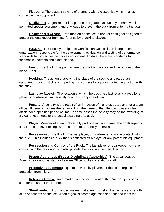**Fisticuffs:** The actual throwing of a punch, with a closed fist, which makes contact with an opponent.

**Goalkeeper:** A goalkeeper is a person designated as such by a team who is permitted special equipment and privileges to prevent the puck from entering the goal.

**Goalkeeper's Crease:** Area marked on the ice in front of each goal designed to protect the goalkeeper from interference by attacking players.

**H.E.C.C.:** The Hockey Equipment Certification Council is an independent organization responsible for the development, evaluation and testing of performance standards for protective ice hockey equipment. To date, there are standards for facemasks, helmets and skate blades.

**Heel of the Stick:** The point where the shaft of the stick and the bottom of the blade meet.

**Hooking:** The action of applying the blade of the stick to any part of an opponent's body or stick and impeding his progress by a pulling or tugging motion with the stick.

**Last play face-off:** The location at which the puck was last legally played by a player or goalkeeper immediately prior to a stoppage of play.

**Penalty:** A penalty is the result of an infraction of the rules by a player or a team official. It usually involves the removal from the game of the offending player or team official for a specified period of time. In some cases the penalty may be the awarding of a clear shot on goal or the actual awarding of a goal.

**Player:** Member of a team physically participating in a game. The goalkeeper is considered a player except where special rules specify otherwise.

**Possession of the Puck:** The last player, or goalkeeper to make contact with the puck. This includes a puck that is deflected off a player or any part of his equipment.

**Possession and Control of the Puck:** The last player or goalkeeper to make contact with the puck and who also propels the puck in a desired direction.

**Proper Authorities (Proper Disciplinary Authorities):** The Local League Administrator and his staff, or League Office hockey operations staff.

**Protective Equipment:** Equipment worn by players for the sole purpose of protection from injury.

**Referee's Crease:** Area marked on the ice in front of the Game Supervisor's seat for the use of the Referee.

**Shorthanded:** Shorthanded means that a team is below the numerical strength of its opponents on the ice. When a goal is scored against a shorthanded team the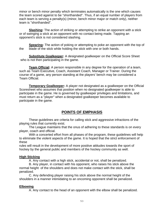minor or bench minor penalty which terminates automatically is the one which causes the team scored against to be "shorthanded". Thus, if an equal number of players from each team is serving a penalty(s) (minor, bench minor major or match only), neither team is "shorthanded".

**Slashing:** The action of striking or attempting to strike an opponent with a stick or of swinging a stick at an opponent with no contact being made. Tapping an opponent's stick is not considered slashing.

**Spearing:** The action of poking or attempting to poke an opponent with the top of the blade of the stick while holding the stick with one or both hands.

**Substitute Goalkeeper:** A designated goalkeeper on the Official Score Sheet who is not then participating in the game.

**Team Official:** A person responsible in any degree for the operation of a team, such as Team Executive, Coach, Assistant Coach, Manager or Trainer. During the course of a game, any person standing at the players' bench may be considered a Team Official.

**Temporary Goalkeeper:** A player not designated as a goalkeeper on the Official Scoresheet who assumes that position when no designated goalkeeper is able to participate in the game. He is governed by goalkeeper privileges and limitations, and must return as a "player" when a designated goalkeeper becomes available to participate in the game.

# **POINTS OF EMPHASIS**

 These guidelines are criteria for calling stick and aggressive infractions of the playing rules that currently exist.

 The League maintains that the onus of adhering to these standards is on every player, coach and official.

 With a concerted effort from all phases of the program, these guidelines will help to eliminate the violent aspects of the game. It is hoped that the strict enforcement of these

rules will result in the development of more positive attitudes towards the sport of hockey by the general public and members of the hockey community as well.

#### **High Sticking**

A. Any contact with a high stick, accidental or not, shall be penalized.

 B. Any player, in contact with his opponent, who raises his stick above the normal height of the shoulders and does not make contact with the stick, shall be penalized.

 C. Any defending player raising his stick above the normal height of the shoulders in a manner intimidating to an oncoming opponent shall be penalized.

#### **Elbowing**

A. Any contact to the head of an opponent with the elbow shall be penalized.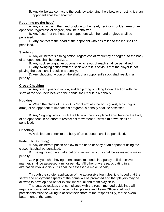B. Any deliberate contact to the body by extending the elbow or thrusting it at an opponent shall be penalized.

#### **Roughing (to the head)**

 A. Any contact with the hand or glove to the head, neck or shoulder area of an opponent, regardless of degree, shall be penalized.

 B. Any "push" of the head of an opponent with the hand or glove shall be penalized.

 C. Any contact to the head of the opponent who has fallen to the ice shall be penalized.

#### **Slashing**

 A. Any deliberate slashing action, regardless of frequency or degree, to the body of an opponent shall be penalized.

B. Any stick swung at an opponent who is out of reach shall be penalized.

 C. Any swinging action with the stick where it is obvious that the player is not playing the puck, shall result in a penalty.

 D. Any chopping action on the shaft of an opponent's stick shall result in a penalty.

#### **Cross-Checking**

 A. Any sharp pushing action, sudden jarring or jolting forward action with the shaft of the stick held between the hands shall result in a penalty.

#### **Hooking**

 A. When the blade of the stick is "hooked" into the body (waist, hips, thighs, arms) of an opponent to impede his progress, a penalty shall be assessed.

 B. Any "tugging" action, with the blade of the stick placed anywhere on the body of an opponent, in an effort to restrict his movement or slow him down, shall be penalized.

#### **Checking**

A. A deliberate check to the body of an opponent shall be penalized.

#### **Fisticuffs (Fighting)**

 A. Any deliberate punch or blow to the head or body of an opponent using the closed fist shall be penalized.

 B. The aggressor in an altercation involving fisticuffs shall be assessed a major penalty.

 C. A player, who, having been struck, responds in a purely self-defensive manner, shall be assessed a minor penalty. All other players participating in an altercation involving fisticuffs shall be assessed a major penalty.

 Through the stricter application of the aggressive foul rules, it is hoped that the safety and enjoyment aspects of the game will be promoted and that players may be allowed to develop and better exhibit individual and team play skills.

 The League realizes that compliance with the recommended guidelines will require a concerted effort on the part of all players and Team Officials. All such participants must be willing to accept their share of the responsibility, for the overall betterment of the game.